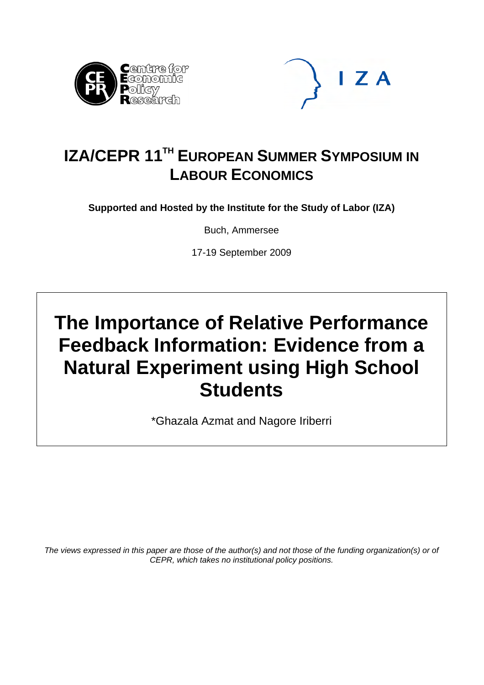



# **IZA/CEPR 11TH EUROPEAN SUMMER SYMPOSIUM IN LABOUR ECONOMICS**

**Supported and Hosted by the Institute for the Study of Labor (IZA)** 

Buch, Ammersee

17-19 September 2009

# **The Importance of Relative Performance Feedback Information: Evidence from a Natural Experiment using High School Students**

\*Ghazala Azmat and Nagore Iriberri

*The views expressed in this paper are those of the author(s) and not those of the funding organization(s) or of CEPR, which takes no institutional policy positions.*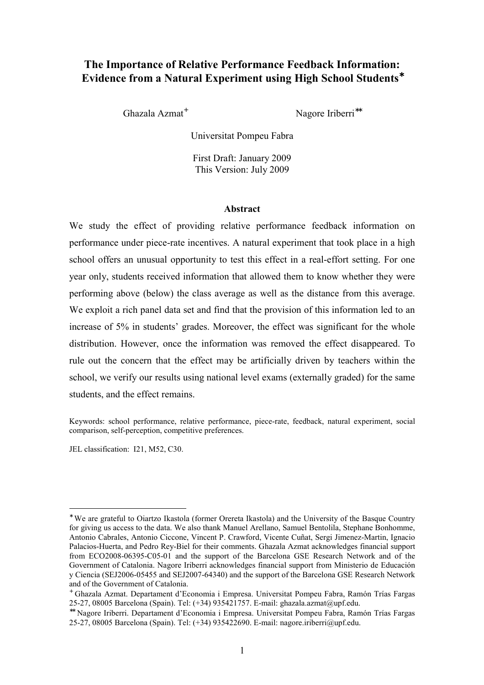# The Importance of Relative Performance Feedback Information: Evidence from a Natural Experiment using High School Students<sup>\*</sup>

Ghazala Azmat<sup>+</sup>

Nagore Iriberri∗∗

Universitat Pompeu Fabra

First Draft: January 2009 This Version: July 2009

#### Abstract

We study the effect of providing relative performance feedback information on performance under piece-rate incentives. A natural experiment that took place in a high school offers an unusual opportunity to test this effect in a real-effort setting. For one year only, students received information that allowed them to know whether they were performing above (below) the class average as well as the distance from this average. We exploit a rich panel data set and find that the provision of this information led to an increase of 5% in students' grades. Moreover, the effect was significant for the whole distribution. However, once the information was removed the effect disappeared. To rule out the concern that the effect may be artificially driven by teachers within the school, we verify our results using national level exams (externally graded) for the same students, and the effect remains.

Keywords: school performance, relative performance, piece-rate, feedback, natural experiment, social comparison, self-perception, competitive preferences.

JEL classification: I21, M52, C30.

 $\overline{a}$ 

<sup>∗</sup> We are grateful to Oiartzo Ikastola (former Orereta Ikastola) and the University of the Basque Country for giving us access to the data. We also thank Manuel Arellano, Samuel Bentolila, Stephane Bonhomme, Antonio Cabrales, Antonio Ciccone, Vincent P. Crawford, Vicente Cuñat, Sergi Jimenez-Martin, Ignacio Palacios-Huerta, and Pedro Rey-Biel for their comments. Ghazala Azmat acknowledges financial support from ECO2008-06395-C05-01 and the support of the Barcelona GSE Research Network and of the Government of Catalonia. Nagore Iriberri acknowledges financial support from Ministerio de Educación y Ciencia (SEJ2006-05455 and SEJ2007-64340) and the support of the Barcelona GSE Research Network and of the Government of Catalonia.

<sup>+</sup> Ghazala Azmat. Departament d'Economia i Empresa. Universitat Pompeu Fabra, Ramón Trías Fargas 25-27, 08005 Barcelona (Spain). Tel: (+34) 935421757. E-mail: ghazala.azmat@upf.edu.

<sup>∗∗</sup> Nagore Iriberri. Departament d'Economia i Empresa. Universitat Pompeu Fabra, Ramón Trías Fargas 25-27, 08005 Barcelona (Spain). Tel: (+34) 935422690. E-mail: nagore.iriberri@upf.edu.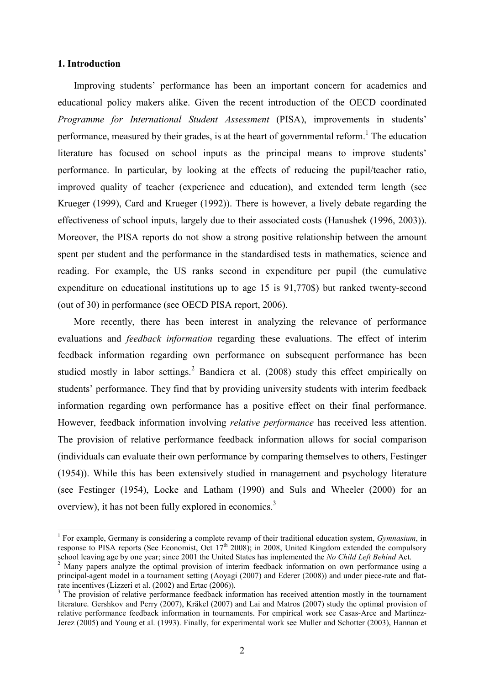#### 1. Introduction

 $\overline{a}$ 

Improving students' performance has been an important concern for academics and educational policy makers alike. Given the recent introduction of the OECD coordinated Programme for International Student Assessment (PISA), improvements in students' performance, measured by their grades, is at the heart of governmental reform.<sup>1</sup> The education literature has focused on school inputs as the principal means to improve students' performance. In particular, by looking at the effects of reducing the pupil/teacher ratio, improved quality of teacher (experience and education), and extended term length (see Krueger (1999), Card and Krueger (1992)). There is however, a lively debate regarding the effectiveness of school inputs, largely due to their associated costs (Hanushek (1996, 2003)). Moreover, the PISA reports do not show a strong positive relationship between the amount spent per student and the performance in the standardised tests in mathematics, science and reading. For example, the US ranks second in expenditure per pupil (the cumulative expenditure on educational institutions up to age 15 is 91,770\$) but ranked twenty-second (out of 30) in performance (see OECD PISA report, 2006).

More recently, there has been interest in analyzing the relevance of performance evaluations and feedback information regarding these evaluations. The effect of interim feedback information regarding own performance on subsequent performance has been studied mostly in labor settings.<sup>2</sup> Bandiera et al.  $(2008)$  study this effect empirically on students' performance. They find that by providing university students with interim feedback information regarding own performance has a positive effect on their final performance. However, feedback information involving relative performance has received less attention. The provision of relative performance feedback information allows for social comparison (individuals can evaluate their own performance by comparing themselves to others, Festinger (1954)). While this has been extensively studied in management and psychology literature (see Festinger (1954), Locke and Latham (1990) and Suls and Wheeler (2000) for an overview), it has not been fully explored in economics.<sup>3</sup>

<sup>&</sup>lt;sup>1</sup> For example, Germany is considering a complete revamp of their traditional education system, Gymnasium, in response to PISA reports (See Economist, Oct 17<sup>th</sup> 2008); in 2008, United Kingdom extended the compulsory school leaving age by one year; since 2001 the United States has implemented the No Child Left Behind Act.

<sup>2</sup> Many papers analyze the optimal provision of interim feedback information on own performance using a principal-agent model in a tournament setting (Aoyagi (2007) and Ederer (2008)) and under piece-rate and flatrate incentives (Lizzeri et al. (2002) and Ertac (2006)).

<sup>&</sup>lt;sup>3</sup> The provision of relative performance feedback information has received attention mostly in the tournament literature. Gershkov and Perry (2007), Kräkel (2007) and Lai and Matros (2007) study the optimal provision of relative performance feedback information in tournaments. For empirical work see Casas-Arce and Martinez-Jerez (2005) and Young et al. (1993). Finally, for experimental work see Muller and Schotter (2003), Hannan et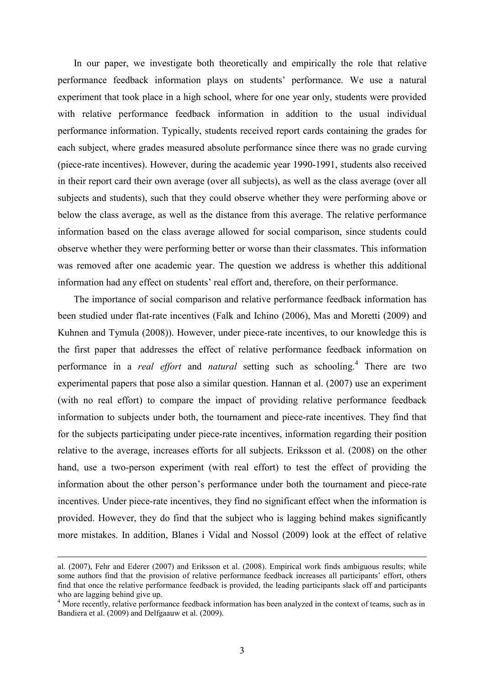In our paper, we investigate both theoretically and empirically the role that relative performance feedback information plays on students' performance. We use a natural experiment that took place in a high school, where for one year only, students were provided with relative performance feedback information in addition to the usual individual performance information. Typically, students received report cards containing the grades for each subject, where grades measured absolute performance since there was no grade curving (piece-rate incentives). However, during the academic year 1990-1991, students also received in their report card their own average (over all subjects), as well as the class average (over all subjects and students), such that they could observe whether they were performing above or below the class average, as well as the distance from this average. The relative performance information based on the class average allowed for social comparison, since students could observe whether they were performing better or worse than their classmates. This information was removed after one academic year. The question we address is whether this additional information had any effect on students' real effort and, therefore, on their performance.

The importance of social comparison and relative performance feedback information has been studied under flat-rate incentives (Falk and Ichino (2006), Mas and Moretti (2009) and Kuhnen and Tymula (2008)). However, under piece-rate incentives, to our knowledge this is the first paper that addresses the effect of relative performance feedback information on performance in a *real effort* and *natural* setting such as schooling.<sup>4</sup> There are two experimental papers that pose also a similar question. Hannan et al. (2007) use an experiment (with no real effort) to compare the impact of providing relative performance feedback information to subjects under both, the tournament and piece-rate incentives. They find that for the subjects participating under piece-rate incentives, information regarding their position relative to the average, increases efforts for all subjects. Eriksson et al. (2008) on the other hand, use a two-person experiment (with real effort) to test the effect of providing the information about the other person's performance under both the tournament and piece-rate incentives. Under piece-rate incentives, they find no significant effect when the information is provided. However, they do find that the subject who is lagging behind makes significantly more mistakes. In addition, Blanes i Vidal and Nossol (2009) look at the effect of relative

 $\overline{a}$ 

al. (2007), Fehr and Ederer (2007) and Eriksson et al. (2008). Empirical work finds ambiguous results; while some authors find that the provision of relative performance feedback increases all participants' effort, others find that once the relative performance feedback is provided, the leading participants slack off and participants who are lagging behind give up.

<sup>&</sup>lt;sup>4</sup> More recently, relative performance feedback information has been analyzed in the context of teams, such as in Bandiera et al. (2009) and Delfgaauw et al. (2009).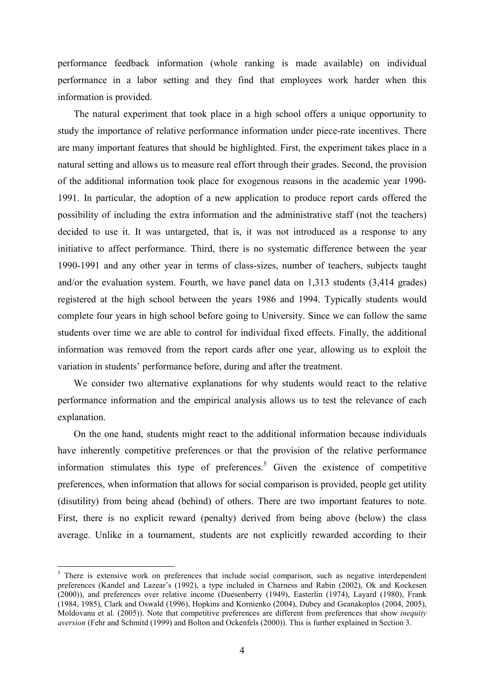performance feedback information (whole ranking is made available) on individual performance in a labor setting and they find that employees work harder when this information is provided.

The natural experiment that took place in a high school offers a unique opportunity to study the importance of relative performance information under piece-rate incentives. There are many important features that should be highlighted. First, the experiment takes place in a natural setting and allows us to measure real effort through their grades. Second, the provision of the additional information took place for exogenous reasons in the academic year 1990- 1991. In particular, the adoption of a new application to produce report cards offered the possibility of including the extra information and the administrative staff (not the teachers) decided to use it. It was untargeted, that is, it was not introduced as a response to any initiative to affect performance. Third, there is no systematic difference between the year 1990-1991 and any other year in terms of class-sizes, number of teachers, subjects taught and/or the evaluation system. Fourth, we have panel data on 1,313 students (3,414 grades) registered at the high school between the years 1986 and 1994. Typically students would complete four years in high school before going to University. Since we can follow the same students over time we are able to control for individual fixed effects. Finally, the additional information was removed from the report cards after one year, allowing us to exploit the variation in students' performance before, during and after the treatment.

We consider two alternative explanations for why students would react to the relative performance information and the empirical analysis allows us to test the relevance of each explanation.

On the one hand, students might react to the additional information because individuals have inherently competitive preferences or that the provision of the relative performance information stimulates this type of preferences.<sup>5</sup> Given the existence of competitive preferences, when information that allows for social comparison is provided, people get utility (disutility) from being ahead (behind) of others. There are two important features to note. First, there is no explicit reward (penalty) derived from being above (below) the class average. Unlike in a tournament, students are not explicitly rewarded according to their

 $\overline{a}$ 

<sup>&</sup>lt;sup>5</sup> There is extensive work on preferences that include social comparison, such as negative interdependent preferences (Kandel and Lazear's (1992), a type included in Charness and Rabin (2002), Ok and Kockesen (2000)), and preferences over relative income (Duesenberry (1949), Easterlin (1974), Layard (1980), Frank (1984, 1985), Clark and Oswald (1996), Hopkins and Kornienko (2004), Dubey and Geanakoplos (2004, 2005), Moldovanu et al. (2005)). Note that competitive preferences are different from preferences that show inequity aversion (Fehr and Schmitd (1999) and Bolton and Ockenfels (2000)). This is further explained in Section 3.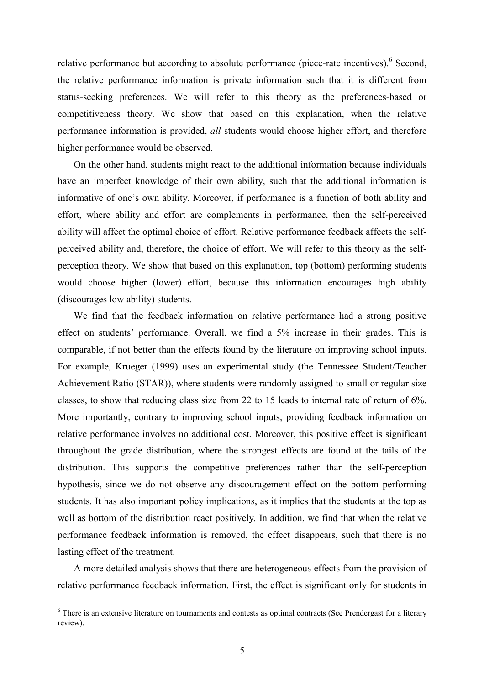relative performance but according to absolute performance (piece-rate incentives).<sup>6</sup> Second, the relative performance information is private information such that it is different from status-seeking preferences. We will refer to this theory as the preferences-based or competitiveness theory. We show that based on this explanation, when the relative performance information is provided, all students would choose higher effort, and therefore higher performance would be observed.

On the other hand, students might react to the additional information because individuals have an imperfect knowledge of their own ability, such that the additional information is informative of one's own ability. Moreover, if performance is a function of both ability and effort, where ability and effort are complements in performance, then the self-perceived ability will affect the optimal choice of effort. Relative performance feedback affects the selfperceived ability and, therefore, the choice of effort. We will refer to this theory as the selfperception theory. We show that based on this explanation, top (bottom) performing students would choose higher (lower) effort, because this information encourages high ability (discourages low ability) students.

We find that the feedback information on relative performance had a strong positive effect on students' performance. Overall, we find a 5% increase in their grades. This is comparable, if not better than the effects found by the literature on improving school inputs. For example, Krueger (1999) uses an experimental study (the Tennessee Student/Teacher Achievement Ratio (STAR)), where students were randomly assigned to small or regular size classes, to show that reducing class size from 22 to 15 leads to internal rate of return of 6%. More importantly, contrary to improving school inputs, providing feedback information on relative performance involves no additional cost. Moreover, this positive effect is significant throughout the grade distribution, where the strongest effects are found at the tails of the distribution. This supports the competitive preferences rather than the self-perception hypothesis, since we do not observe any discouragement effect on the bottom performing students. It has also important policy implications, as it implies that the students at the top as well as bottom of the distribution react positively. In addition, we find that when the relative performance feedback information is removed, the effect disappears, such that there is no lasting effect of the treatment.

A more detailed analysis shows that there are heterogeneous effects from the provision of relative performance feedback information. First, the effect is significant only for students in

<sup>&</sup>lt;sup>6</sup> There is an extensive literature on tournaments and contests as optimal contracts (See Prendergast for a literary review).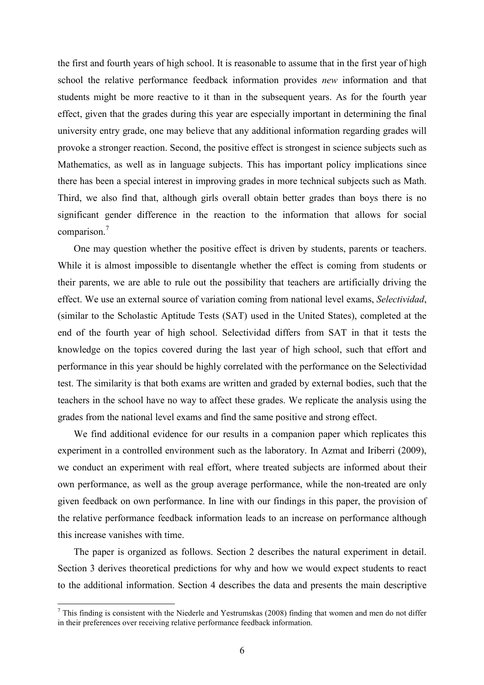the first and fourth years of high school. It is reasonable to assume that in the first year of high school the relative performance feedback information provides new information and that students might be more reactive to it than in the subsequent years. As for the fourth year effect, given that the grades during this year are especially important in determining the final university entry grade, one may believe that any additional information regarding grades will provoke a stronger reaction. Second, the positive effect is strongest in science subjects such as Mathematics, as well as in language subjects. This has important policy implications since there has been a special interest in improving grades in more technical subjects such as Math. Third, we also find that, although girls overall obtain better grades than boys there is no significant gender difference in the reaction to the information that allows for social comparison.<sup>7</sup>

One may question whether the positive effect is driven by students, parents or teachers. While it is almost impossible to disentangle whether the effect is coming from students or their parents, we are able to rule out the possibility that teachers are artificially driving the effect. We use an external source of variation coming from national level exams, Selectividad, (similar to the Scholastic Aptitude Tests (SAT) used in the United States), completed at the end of the fourth year of high school. Selectividad differs from SAT in that it tests the knowledge on the topics covered during the last year of high school, such that effort and performance in this year should be highly correlated with the performance on the Selectividad test. The similarity is that both exams are written and graded by external bodies, such that the teachers in the school have no way to affect these grades. We replicate the analysis using the grades from the national level exams and find the same positive and strong effect.

We find additional evidence for our results in a companion paper which replicates this experiment in a controlled environment such as the laboratory. In Azmat and Iriberri (2009), we conduct an experiment with real effort, where treated subjects are informed about their own performance, as well as the group average performance, while the non-treated are only given feedback on own performance. In line with our findings in this paper, the provision of the relative performance feedback information leads to an increase on performance although this increase vanishes with time.

The paper is organized as follows. Section 2 describes the natural experiment in detail. Section 3 derives theoretical predictions for why and how we would expect students to react to the additional information. Section 4 describes the data and presents the main descriptive

<sup>&</sup>lt;sup>7</sup> This finding is consistent with the Niederle and Yestrumskas (2008) finding that women and men do not differ in their preferences over receiving relative performance feedback information.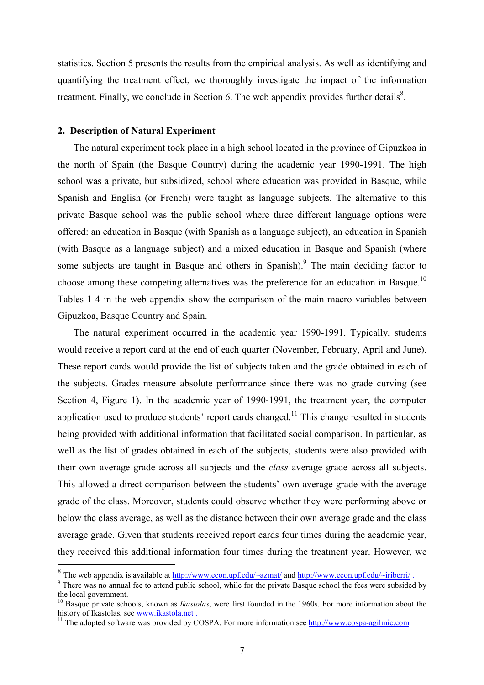statistics. Section 5 presents the results from the empirical analysis. As well as identifying and quantifying the treatment effect, we thoroughly investigate the impact of the information treatment. Finally, we conclude in Section 6. The web appendix provides further details $8$ .

## 2. Description of Natural Experiment

The natural experiment took place in a high school located in the province of Gipuzkoa in the north of Spain (the Basque Country) during the academic year 1990-1991. The high school was a private, but subsidized, school where education was provided in Basque, while Spanish and English (or French) were taught as language subjects. The alternative to this private Basque school was the public school where three different language options were offered: an education in Basque (with Spanish as a language subject), an education in Spanish (with Basque as a language subject) and a mixed education in Basque and Spanish (where some subjects are taught in Basque and others in Spanish). <sup>9</sup> The main deciding factor to choose among these competing alternatives was the preference for an education in Basque.<sup>10</sup> Tables 1-4 in the web appendix show the comparison of the main macro variables between Gipuzkoa, Basque Country and Spain.

The natural experiment occurred in the academic year 1990-1991. Typically, students would receive a report card at the end of each quarter (November, February, April and June). These report cards would provide the list of subjects taken and the grade obtained in each of the subjects. Grades measure absolute performance since there was no grade curving (see Section 4, Figure 1). In the academic year of 1990-1991, the treatment year, the computer application used to produce students' report cards changed.<sup>11</sup> This change resulted in students being provided with additional information that facilitated social comparison. In particular, as well as the list of grades obtained in each of the subjects, students were also provided with their own average grade across all subjects and the class average grade across all subjects. This allowed a direct comparison between the students' own average grade with the average grade of the class. Moreover, students could observe whether they were performing above or below the class average, as well as the distance between their own average grade and the class average grade. Given that students received report cards four times during the academic year, they received this additional information four times during the treatment year. However, we

<sup>8&</sup>lt;br><sup>8</sup> The web appendix is available at <u>http://www.econ.upf.edu/~azmat/</u> and <u>http://www.econ.upf.edu/~iriberri/</u>.

<sup>&</sup>lt;sup>9</sup> There was no annual fee to attend public school, while for the private Basque school the fees were subsided by the local government.

<sup>&</sup>lt;sup>10</sup> Basque private schools, known as *Ikastolas*, were first founded in the 1960s. For more information about the history of Ikastolas, see www.ikastola.net

<sup>&</sup>lt;sup>11</sup> The adopted software was provided by COSPA. For more information see http://www.cospa-agilmic.com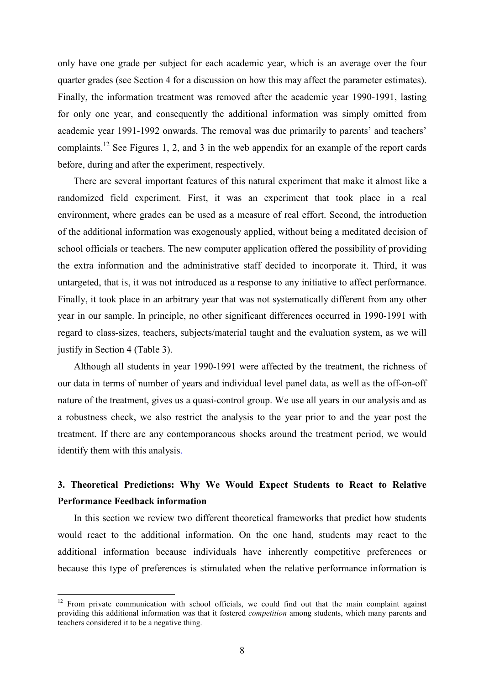only have one grade per subject for each academic year, which is an average over the four quarter grades (see Section 4 for a discussion on how this may affect the parameter estimates). Finally, the information treatment was removed after the academic year 1990-1991, lasting for only one year, and consequently the additional information was simply omitted from academic year 1991-1992 onwards. The removal was due primarily to parents' and teachers' complaints.<sup>12</sup> See Figures 1, 2, and 3 in the web appendix for an example of the report cards before, during and after the experiment, respectively.

There are several important features of this natural experiment that make it almost like a randomized field experiment. First, it was an experiment that took place in a real environment, where grades can be used as a measure of real effort. Second, the introduction of the additional information was exogenously applied, without being a meditated decision of school officials or teachers. The new computer application offered the possibility of providing the extra information and the administrative staff decided to incorporate it. Third, it was untargeted, that is, it was not introduced as a response to any initiative to affect performance. Finally, it took place in an arbitrary year that was not systematically different from any other year in our sample. In principle, no other significant differences occurred in 1990-1991 with regard to class-sizes, teachers, subjects/material taught and the evaluation system, as we will justify in Section 4 (Table 3).

Although all students in year 1990-1991 were affected by the treatment, the richness of our data in terms of number of years and individual level panel data, as well as the off-on-off nature of the treatment, gives us a quasi-control group. We use all years in our analysis and as a robustness check, we also restrict the analysis to the year prior to and the year post the treatment. If there are any contemporaneous shocks around the treatment period, we would identify them with this analysis.

# 3. Theoretical Predictions: Why We Would Expect Students to React to Relative Performance Feedback information

In this section we review two different theoretical frameworks that predict how students would react to the additional information. On the one hand, students may react to the additional information because individuals have inherently competitive preferences or because this type of preferences is stimulated when the relative performance information is

 $\overline{a}$ 

 $12$  From private communication with school officials, we could find out that the main complaint against providing this additional information was that it fostered *competition* among students, which many parents and teachers considered it to be a negative thing.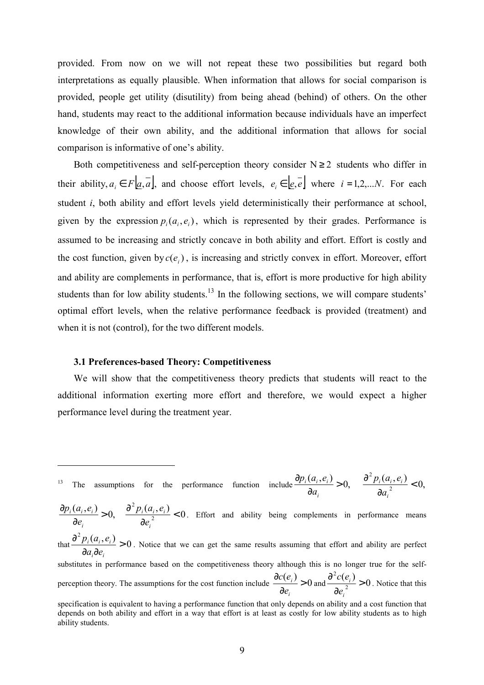provided. From now on we will not repeat these two possibilities but regard both interpretations as equally plausible. When information that allows for social comparison is provided, people get utility (disutility) from being ahead (behind) of others. On the other hand, students may react to the additional information because individuals have an imperfect knowledge of their own ability, and the additional information that allows for social comparison is informative of one's ability.

Both competitiveness and self-perception theory consider  $N \geq 2$  students who differ in their ability,  $a_i \in F[\underline{a}, \overline{a}]$ , and choose effort levels,  $e_i \in [\underline{e}, \overline{e}]$  where  $i = 1, 2, ...N$ . For each student *i*, both ability and effort levels yield deterministically their performance at school, given by the expression  $p_i(a_i, e_i)$ , which is represented by their grades. Performance is assumed to be increasing and strictly concave in both ability and effort. Effort is costly and the cost function, given by  $c(e_i)$ , is increasing and strictly convex in effort. Moreover, effort and ability are complements in performance, that is, effort is more productive for high ability students than for low ability students.<sup>13</sup> In the following sections, we will compare students' optimal effort levels, when the relative performance feedback is provided (treatment) and when it is not (control), for the two different models.

#### 3.1 Preferences-based Theory: Competitiveness

 $\overline{a}$ 

We will show that the competitiveness theory predicts that students will react to the additional information exerting more effort and therefore, we would expect a higher performance level during the treatment year.

<sup>13</sup> The assumptions for the performance function include  $\frac{\partial p_i(a_i, e_i)}{\partial x_i} > 0$ , ∂ ∂ i  $i \, (u_i, v_i)$ a  $\frac{p_i(a_i, e_i)}{2} > 0, \quad \frac{\partial^2 p_i(a_i, e_i)}{2} < 0,$ 2 2  $\lt$ ∂ ∂ i  $i \, \mathbf{u}_i, \mathbf{v}_i$ a  $p_i(a_i, e$ 

 $\frac{(a_i, e_i)}{2} > 0,$ ∂ ∂ i  $i$  ( $\boldsymbol{u}_i$ , $\boldsymbol{\epsilon}_i$ e  $\frac{p_i(a_i, e_i)}{p_i} > 0, \quad \frac{\partial^2 p_i(a_i, e_i)}{p_i} < 0$ 2 2  $\lt$ ∂ ∂ i  $i$  ( $u_i$ ,  $e_i$ e  $\frac{p_i(a_i, e_i)}{n_i}$  < 0. Effort and ability being complements in performance means

that  $\frac{\partial^2 p_i(a_i, e_i)}{\partial x_i} > 0$ >  $\partial a_i\partial$ ∂  $i^{\mathbf{UC}_i}$  $i$  ( $u_i$ ,  $e_i$  $a_i$ де  $\frac{p_i(a_i, e_i)}{n_i} > 0$ . Notice that we can get the same results assuming that effort and ability are perfect substitutes in performance based on the competitiveness theory although this is no longer true for the selfperception theory. The assumptions for the cost function include  $\frac{\partial c(e_i)}{\partial z} > 0$ ∂ ∂ i i e  $\frac{c(e_i)}{2}$  > 0 and  $\frac{\partial^2 c(e_i)}{\partial x_i^2}$  > 0 2 2 > ∂ ∂ i i e  $\frac{c(e_i)}{2}$  > 0. Notice that this

specification is equivalent to having a performance function that only depends on ability and a cost function that depends on both ability and effort in a way that effort is at least as costly for low ability students as to high ability students.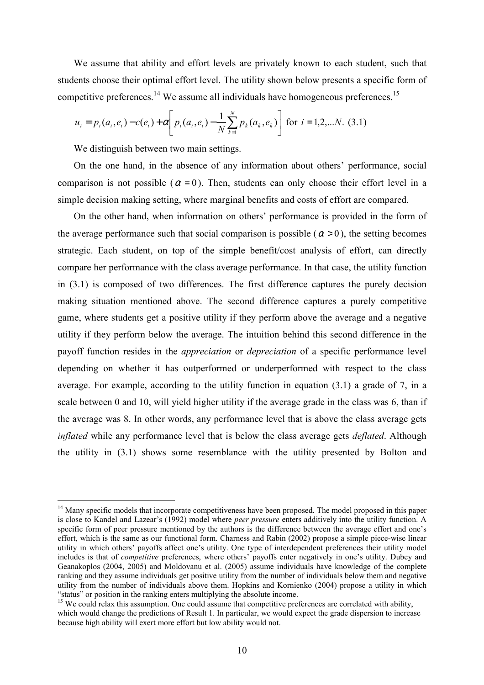We assume that ability and effort levels are privately known to each student, such that students choose their optimal effort level. The utility shown below presents a specific form of competitive preferences.<sup>14</sup> We assume all individuals have homogeneous preferences.<sup>15</sup>

$$
u_i = p_i(a_i, e_i) - c(e_i) + \alpha \left[ p_i(a_i, e_i) - \frac{1}{N} \sum_{k=1}^{N} p_k(a_k, e_k) \right] \text{ for } i = 1, 2, \dots N. \text{ (3.1)}
$$

We distinguish between two main settings.

 $\overline{a}$ 

On the one hand, in the absence of any information about others' performance, social comparison is not possible ( $\alpha = 0$ ). Then, students can only choose their effort level in a simple decision making setting, where marginal benefits and costs of effort are compared.

On the other hand, when information on others' performance is provided in the form of the average performance such that social comparison is possible ( $\alpha$  > 0), the setting becomes strategic. Each student, on top of the simple benefit/cost analysis of effort, can directly compare her performance with the class average performance. In that case, the utility function in (3.1) is composed of two differences. The first difference captures the purely decision making situation mentioned above. The second difference captures a purely competitive game, where students get a positive utility if they perform above the average and a negative utility if they perform below the average. The intuition behind this second difference in the payoff function resides in the appreciation or depreciation of a specific performance level depending on whether it has outperformed or underperformed with respect to the class average. For example, according to the utility function in equation (3.1) a grade of 7, in a scale between 0 and 10, will yield higher utility if the average grade in the class was 6, than if the average was 8. In other words, any performance level that is above the class average gets inflated while any performance level that is below the class average gets *deflated*. Although the utility in (3.1) shows some resemblance with the utility presented by Bolton and

<sup>&</sup>lt;sup>14</sup> Many specific models that incorporate competitiveness have been proposed. The model proposed in this paper is close to Kandel and Lazear's (1992) model where peer pressure enters additively into the utility function. A specific form of peer pressure mentioned by the authors is the difference between the average effort and one's effort, which is the same as our functional form. Charness and Rabin (2002) propose a simple piece-wise linear utility in which others' payoffs affect one's utility. One type of interdependent preferences their utility model includes is that of competitive preferences, where others' payoffs enter negatively in one's utility. Dubey and Geanakoplos (2004, 2005) and Moldovanu et al. (2005) assume individuals have knowledge of the complete ranking and they assume individuals get positive utility from the number of individuals below them and negative utility from the number of individuals above them. Hopkins and Kornienko (2004) propose a utility in which "status" or position in the ranking enters multiplying the absolute income.

<sup>&</sup>lt;sup>15</sup> We could relax this assumption. One could assume that competitive preferences are correlated with ability, which would change the predictions of Result 1. In particular, we would expect the grade dispersion to increase because high ability will exert more effort but low ability would not.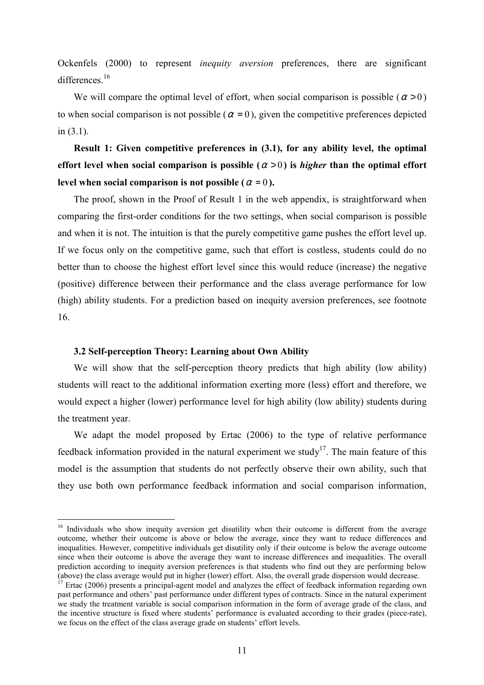Ockenfels (2000) to represent inequity aversion preferences, there are significant differences.<sup>16</sup>

We will compare the optimal level of effort, when social comparison is possible ( $\alpha > 0$ ) to when social comparison is not possible ( $\alpha = 0$ ), given the competitive preferences depicted in (3.1).

Result 1: Given competitive preferences in (3.1), for any ability level, the optimal effort level when social comparison is possible ( $\alpha$  > 0) is *higher* than the optimal effort level when social comparison is not possible ( $\alpha = 0$ ).

The proof, shown in the Proof of Result 1 in the web appendix, is straightforward when comparing the first-order conditions for the two settings, when social comparison is possible and when it is not. The intuition is that the purely competitive game pushes the effort level up. If we focus only on the competitive game, such that effort is costless, students could do no better than to choose the highest effort level since this would reduce (increase) the negative (positive) difference between their performance and the class average performance for low (high) ability students. For a prediction based on inequity aversion preferences, see footnote 16.

### 3.2 Self-perception Theory: Learning about Own Ability

 $\overline{a}$ 

We will show that the self-perception theory predicts that high ability (low ability) students will react to the additional information exerting more (less) effort and therefore, we would expect a higher (lower) performance level for high ability (low ability) students during the treatment year.

We adapt the model proposed by Ertac (2006) to the type of relative performance feedback information provided in the natural experiment we study<sup>17</sup>. The main feature of this model is the assumption that students do not perfectly observe their own ability, such that they use both own performance feedback information and social comparison information,

<sup>&</sup>lt;sup>16</sup> Individuals who show inequity aversion get disutility when their outcome is different from the average outcome, whether their outcome is above or below the average, since they want to reduce differences and inequalities. However, competitive individuals get disutility only if their outcome is below the average outcome since when their outcome is above the average they want to increase differences and inequalities. The overall prediction according to inequity aversion preferences is that students who find out they are performing below (above) the class average would put in higher (lower) effort. Also, the overall grade dispersion would decrease.

<sup>&</sup>lt;sup>17</sup> Ertac (2006) presents a principal-agent model and analyzes the effect of feedback information regarding own past performance and others' past performance under different types of contracts. Since in the natural experiment we study the treatment variable is social comparison information in the form of average grade of the class, and the incentive structure is fixed where students' performance is evaluated according to their grades (piece-rate), we focus on the effect of the class average grade on students' effort levels.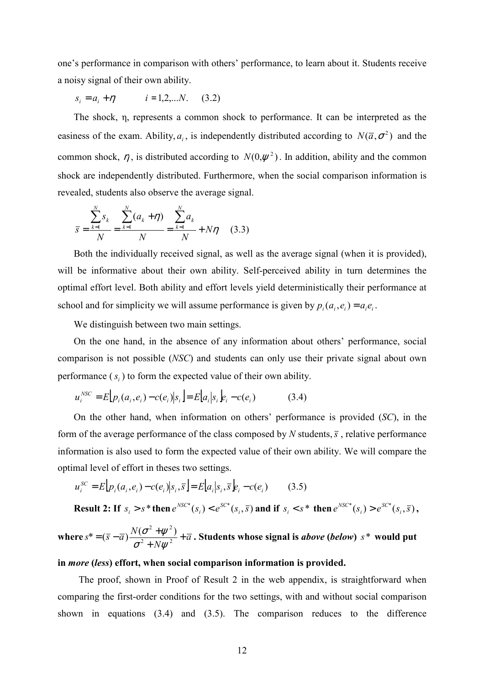one's performance in comparison with others' performance, to learn about it. Students receive a noisy signal of their own ability.

 $s_i = a_i + \eta$  . i = 1,2,...N. (3.2)

The shock, η, represents a common shock to performance. It can be interpreted as the easiness of the exam. Ability,  $a_i$ , is independently distributed according to  $N(\bar{a}, \sigma^2)$  and the common shock,  $\eta$ , is distributed according to  $N(0, \psi^2)$ . In addition, ability and the common shock are independently distributed. Furthermore, when the social comparison information is revealed, students also observe the average signal.

$$
\bar{s} = \frac{\sum_{k=1}^{N} s_k}{N} = \frac{\sum_{k=1}^{N} (a_k + \eta)}{N} = \frac{\sum_{k=1}^{N} a_k}{N} + N\eta
$$
 (3.3)

Both the individually received signal, as well as the average signal (when it is provided), will be informative about their own ability. Self-perceived ability in turn determines the optimal effort level. Both ability and effort levels yield deterministically their performance at school and for simplicity we will assume performance is given by  $p_i(a_i, e_i) = a_i e_i$ .

We distinguish between two main settings.

On the one hand, in the absence of any information about others' performance, social comparison is not possible (NSC) and students can only use their private signal about own performance  $(s_i)$  to form the expected value of their own ability.

$$
u_i^{NSC} = E[p_i(a_i, e_i) - c(e_i)|s_i] = E[a_i|s_i]e_i - c(e_i)
$$
 (3.4)

On the other hand, when information on others' performance is provided  $(S<sub>C</sub>)$ , in the form of the average performance of the class composed by N students,  $\bar{s}$ , relative performance information is also used to form the expected value of their own ability. We will compare the optimal level of effort in theses two settings.

$$
u_i^{SC} = E[p_i(a_i, e_i) - c(e_i)|s_i, \overline{s}] = E[a_i|s_i, \overline{s}]e_i - c(e_i)
$$
 (3.5)

**Result 2:** If  $s_i > s^*$  then  $e^{NSC^*}(s_i) < e^{SC^*}(s_i, \bar{s})$  ${}^{NSC^*}(s_i) < e^{SC^*}(s_i, \bar{s})$  and if  $s_i < s^*$  then  $e^{NSC^*}(s_i) > e^{SC^*}(s_i, \bar{s})$  ${}^{NSC^*}(s_i) > e^{SC^*}(s_i, \bar{s}),$ 

where  $s^* = (\bar{s} - \bar{a}) \frac{N(\bar{b} + \bar{\gamma})}{2} + \bar{a}$ N  $s^* = (\bar{s} - \bar{a}) \frac{N(\sigma^2 + \psi^2)}{2N} +$ +  $=(\bar{s}-\bar{a})\frac{N(\sigma^2+\psi^2)}{\sigma^2+N\psi^2}$ \* =  $(\bar{s} - \bar{a}) \frac{N(\sigma^2 + \psi^2)}{2N}$  $\sigma$  = + N  $\psi$  $\frac{\sigma^2 + \psi^2}{\sigma^2 + \psi^2}$  +  $\overline{a}$ . Students whose signal is *above* (*below*) s\* would put

### in more (less) effort, when social comparison information is provided.

 The proof, shown in Proof of Result 2 in the web appendix, is straightforward when comparing the first-order conditions for the two settings, with and without social comparison shown in equations (3.4) and (3.5). The comparison reduces to the difference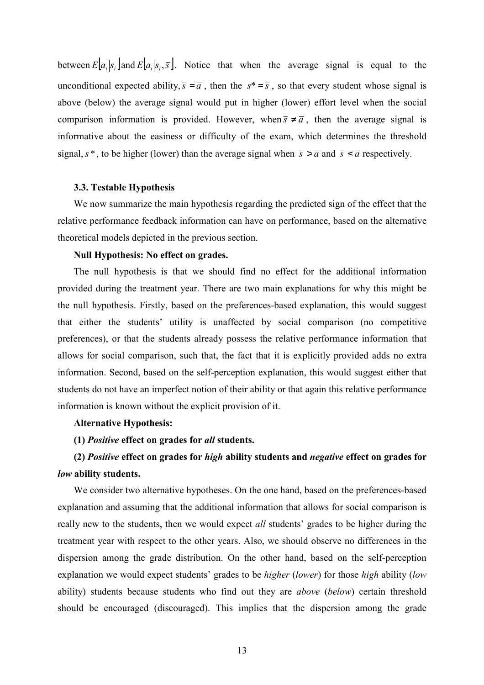between  $E[a_i | s_i]$  and  $E[a_i | s_i, \overline{s}]$ . Notice that when the average signal is equal to the unconditional expected ability,  $\bar{s} = \bar{a}$ , then the  $s^* = \bar{s}$ , so that every student whose signal is above (below) the average signal would put in higher (lower) effort level when the social comparison information is provided. However, when  $\bar{s} \neq \bar{a}$ , then the average signal is informative about the easiness or difficulty of the exam, which determines the threshold signal,  $s^*$ , to be higher (lower) than the average signal when  $\bar{s} > \bar{a}$  and  $\bar{s} < \bar{a}$  respectively.

#### 3.3. Testable Hypothesis

We now summarize the main hypothesis regarding the predicted sign of the effect that the relative performance feedback information can have on performance, based on the alternative theoretical models depicted in the previous section.

## Null Hypothesis: No effect on grades.

The null hypothesis is that we should find no effect for the additional information provided during the treatment year. There are two main explanations for why this might be the null hypothesis. Firstly, based on the preferences-based explanation, this would suggest that either the students' utility is unaffected by social comparison (no competitive preferences), or that the students already possess the relative performance information that allows for social comparison, such that, the fact that it is explicitly provided adds no extra information. Second, based on the self-perception explanation, this would suggest either that students do not have an imperfect notion of their ability or that again this relative performance information is known without the explicit provision of it.

#### Alternative Hypothesis:

#### (1) Positive effect on grades for all students.

# (2) Positive effect on grades for high ability students and negative effect on grades for low ability students.

We consider two alternative hypotheses. On the one hand, based on the preferences-based explanation and assuming that the additional information that allows for social comparison is really new to the students, then we would expect *all* students' grades to be higher during the treatment year with respect to the other years. Also, we should observe no differences in the dispersion among the grade distribution. On the other hand, based on the self-perception explanation we would expect students' grades to be *higher* (lower) for those *high* ability (low ability) students because students who find out they are above (below) certain threshold should be encouraged (discouraged). This implies that the dispersion among the grade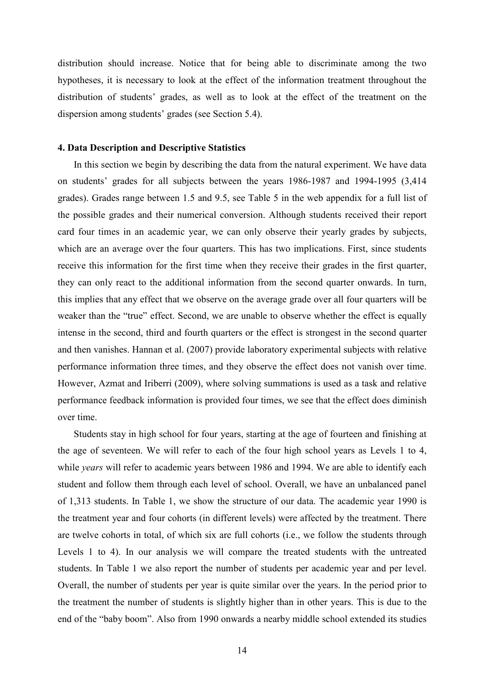distribution should increase. Notice that for being able to discriminate among the two hypotheses, it is necessary to look at the effect of the information treatment throughout the distribution of students' grades, as well as to look at the effect of the treatment on the dispersion among students' grades (see Section 5.4).

#### 4. Data Description and Descriptive Statistics

In this section we begin by describing the data from the natural experiment. We have data on students' grades for all subjects between the years 1986-1987 and 1994-1995 (3,414 grades). Grades range between 1.5 and 9.5, see Table 5 in the web appendix for a full list of the possible grades and their numerical conversion. Although students received their report card four times in an academic year, we can only observe their yearly grades by subjects, which are an average over the four quarters. This has two implications. First, since students receive this information for the first time when they receive their grades in the first quarter, they can only react to the additional information from the second quarter onwards. In turn, this implies that any effect that we observe on the average grade over all four quarters will be weaker than the "true" effect. Second, we are unable to observe whether the effect is equally intense in the second, third and fourth quarters or the effect is strongest in the second quarter and then vanishes. Hannan et al. (2007) provide laboratory experimental subjects with relative performance information three times, and they observe the effect does not vanish over time. However, Azmat and Iriberri (2009), where solving summations is used as a task and relative performance feedback information is provided four times, we see that the effect does diminish over time.

Students stay in high school for four years, starting at the age of fourteen and finishing at the age of seventeen. We will refer to each of the four high school years as Levels 1 to 4, while *years* will refer to academic years between 1986 and 1994. We are able to identify each student and follow them through each level of school. Overall, we have an unbalanced panel of 1,313 students. In Table 1, we show the structure of our data. The academic year 1990 is the treatment year and four cohorts (in different levels) were affected by the treatment. There are twelve cohorts in total, of which six are full cohorts (i.e., we follow the students through Levels 1 to 4). In our analysis we will compare the treated students with the untreated students. In Table 1 we also report the number of students per academic year and per level. Overall, the number of students per year is quite similar over the years. In the period prior to the treatment the number of students is slightly higher than in other years. This is due to the end of the "baby boom". Also from 1990 onwards a nearby middle school extended its studies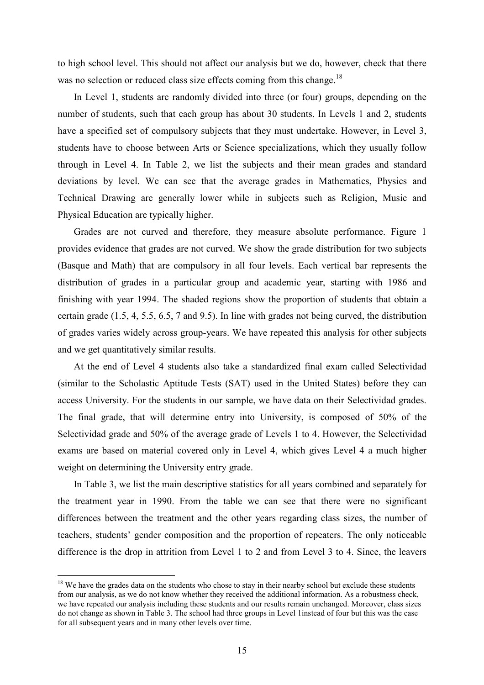to high school level. This should not affect our analysis but we do, however, check that there was no selection or reduced class size effects coming from this change.<sup>18</sup>

In Level 1, students are randomly divided into three (or four) groups, depending on the number of students, such that each group has about 30 students. In Levels 1 and 2, students have a specified set of compulsory subjects that they must undertake. However, in Level 3, students have to choose between Arts or Science specializations, which they usually follow through in Level 4. In Table 2, we list the subjects and their mean grades and standard deviations by level. We can see that the average grades in Mathematics, Physics and Technical Drawing are generally lower while in subjects such as Religion, Music and Physical Education are typically higher.

Grades are not curved and therefore, they measure absolute performance. Figure 1 provides evidence that grades are not curved. We show the grade distribution for two subjects (Basque and Math) that are compulsory in all four levels. Each vertical bar represents the distribution of grades in a particular group and academic year, starting with 1986 and finishing with year 1994. The shaded regions show the proportion of students that obtain a certain grade (1.5, 4, 5.5, 6.5, 7 and 9.5). In line with grades not being curved, the distribution of grades varies widely across group-years. We have repeated this analysis for other subjects and we get quantitatively similar results.

At the end of Level 4 students also take a standardized final exam called Selectividad (similar to the Scholastic Aptitude Tests (SAT) used in the United States) before they can access University. For the students in our sample, we have data on their Selectividad grades. The final grade, that will determine entry into University, is composed of 50% of the Selectividad grade and 50% of the average grade of Levels 1 to 4. However, the Selectividad exams are based on material covered only in Level 4, which gives Level 4 a much higher weight on determining the University entry grade.

In Table 3, we list the main descriptive statistics for all years combined and separately for the treatment year in 1990. From the table we can see that there were no significant differences between the treatment and the other years regarding class sizes, the number of teachers, students' gender composition and the proportion of repeaters. The only noticeable difference is the drop in attrition from Level 1 to 2 and from Level 3 to 4. Since, the leavers

 $\overline{a}$ 

<sup>&</sup>lt;sup>18</sup> We have the grades data on the students who chose to stay in their nearby school but exclude these students from our analysis, as we do not know whether they received the additional information. As a robustness check, we have repeated our analysis including these students and our results remain unchanged. Moreover, class sizes do not change as shown in Table 3. The school had three groups in Level 1instead of four but this was the case for all subsequent years and in many other levels over time.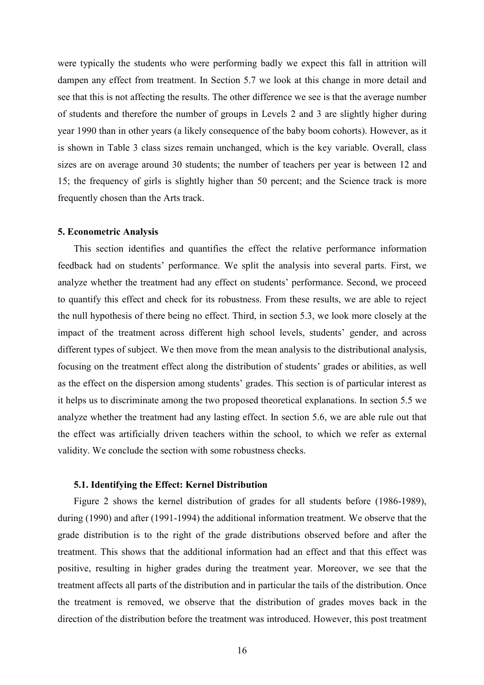were typically the students who were performing badly we expect this fall in attrition will dampen any effect from treatment. In Section 5.7 we look at this change in more detail and see that this is not affecting the results. The other difference we see is that the average number of students and therefore the number of groups in Levels 2 and 3 are slightly higher during year 1990 than in other years (a likely consequence of the baby boom cohorts). However, as it is shown in Table 3 class sizes remain unchanged, which is the key variable. Overall, class sizes are on average around 30 students; the number of teachers per year is between 12 and 15; the frequency of girls is slightly higher than 50 percent; and the Science track is more frequently chosen than the Arts track.

#### 5. Econometric Analysis

This section identifies and quantifies the effect the relative performance information feedback had on students' performance. We split the analysis into several parts. First, we analyze whether the treatment had any effect on students' performance. Second, we proceed to quantify this effect and check for its robustness. From these results, we are able to reject the null hypothesis of there being no effect. Third, in section 5.3, we look more closely at the impact of the treatment across different high school levels, students' gender, and across different types of subject. We then move from the mean analysis to the distributional analysis, focusing on the treatment effect along the distribution of students' grades or abilities, as well as the effect on the dispersion among students' grades. This section is of particular interest as it helps us to discriminate among the two proposed theoretical explanations. In section 5.5 we analyze whether the treatment had any lasting effect. In section 5.6, we are able rule out that the effect was artificially driven teachers within the school, to which we refer as external validity. We conclude the section with some robustness checks.

#### 5.1. Identifying the Effect: Kernel Distribution

Figure 2 shows the kernel distribution of grades for all students before (1986-1989), during (1990) and after (1991-1994) the additional information treatment. We observe that the grade distribution is to the right of the grade distributions observed before and after the treatment. This shows that the additional information had an effect and that this effect was positive, resulting in higher grades during the treatment year. Moreover, we see that the treatment affects all parts of the distribution and in particular the tails of the distribution. Once the treatment is removed, we observe that the distribution of grades moves back in the direction of the distribution before the treatment was introduced. However, this post treatment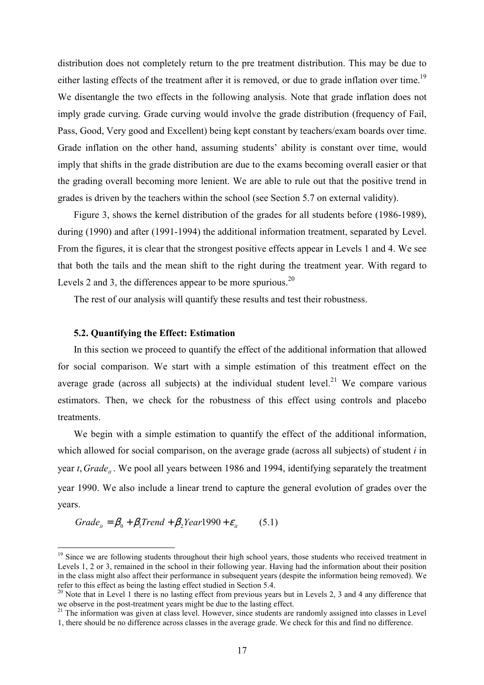distribution does not completely return to the pre treatment distribution. This may be due to either lasting effects of the treatment after it is removed, or due to grade inflation over time.<sup>19</sup> We disentangle the two effects in the following analysis. Note that grade inflation does not imply grade curving. Grade curving would involve the grade distribution (frequency of Fail, Pass, Good, Very good and Excellent) being kept constant by teachers/exam boards over time. Grade inflation on the other hand, assuming students' ability is constant over time, would imply that shifts in the grade distribution are due to the exams becoming overall easier or that the grading overall becoming more lenient. We are able to rule out that the positive trend in grades is driven by the teachers within the school (see Section 5.7 on external validity).

Figure 3, shows the kernel distribution of the grades for all students before (1986-1989), during (1990) and after (1991-1994) the additional information treatment, separated by Level. From the figures, it is clear that the strongest positive effects appear in Levels 1 and 4. We see that both the tails and the mean shift to the right during the treatment year. With regard to Levels 2 and 3, the differences appear to be more spurious. $^{20}$ 

The rest of our analysis will quantify these results and test their robustness.

#### 5.2. Quantifying the Effect: Estimation

In this section we proceed to quantify the effect of the additional information that allowed for social comparison. We start with a simple estimation of this treatment effect on the average grade (across all subjects) at the individual student level.<sup>21</sup> We compare various estimators. Then, we check for the robustness of this effect using controls and placebo treatments.

We begin with a simple estimation to quantify the effect of the additional information, which allowed for social comparison, on the average grade (across all subjects) of student  $i$  in year t, Grade<sub>it</sub>. We pool all years between 1986 and 1994, identifying separately the treatment year 1990. We also include a linear trend to capture the general evolution of grades over the years.

$$
Grade_{it} = \beta_0 + \beta_1 Trend + \beta_2 Year1990 + \varepsilon_{it}
$$
 (5.1)

 $\overline{a}$ 

<sup>&</sup>lt;sup>19</sup> Since we are following students throughout their high school years, those students who received treatment in Levels 1, 2 or 3, remained in the school in their following year. Having had the information about their position in the class might also affect their performance in subsequent years (despite the information being removed). We refer to this effect as being the lasting effect studied in Section 5.4.

 $20$  Note that in Level 1 there is no lasting effect from previous years but in Levels 2, 3 and 4 any difference that we observe in the post-treatment years might be due to the lasting effect.

<sup>&</sup>lt;sup>21</sup> The information was given at class level. However, since students are randomly assigned into classes in Level 1, there should be no difference across classes in the average grade. We check for this and find no difference.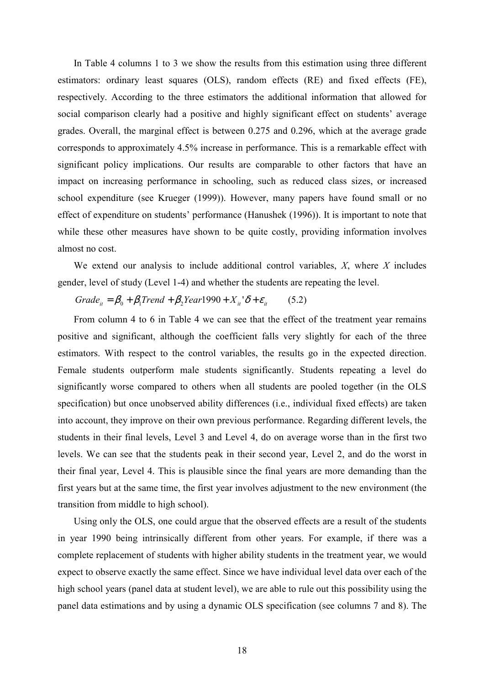In Table 4 columns 1 to 3 we show the results from this estimation using three different estimators: ordinary least squares (OLS), random effects (RE) and fixed effects (FE), respectively. According to the three estimators the additional information that allowed for social comparison clearly had a positive and highly significant effect on students' average grades. Overall, the marginal effect is between 0.275 and 0.296, which at the average grade corresponds to approximately 4.5% increase in performance. This is a remarkable effect with significant policy implications. Our results are comparable to other factors that have an impact on increasing performance in schooling, such as reduced class sizes, or increased school expenditure (see Krueger (1999)). However, many papers have found small or no effect of expenditure on students' performance (Hanushek (1996)). It is important to note that while these other measures have shown to be quite costly, providing information involves almost no cost.

We extend our analysis to include additional control variables,  $X$ , where  $X$  includes gender, level of study (Level 1-4) and whether the students are repeating the level.

$$
Grade_{it} = \beta_0 + \beta_1 Trend + \beta_2 Year1990 + X_{it} \delta + \varepsilon_{it}
$$
 (5.2)

From column 4 to 6 in Table 4 we can see that the effect of the treatment year remains positive and significant, although the coefficient falls very slightly for each of the three estimators. With respect to the control variables, the results go in the expected direction. Female students outperform male students significantly. Students repeating a level do significantly worse compared to others when all students are pooled together (in the OLS specification) but once unobserved ability differences (i.e., individual fixed effects) are taken into account, they improve on their own previous performance. Regarding different levels, the students in their final levels, Level 3 and Level 4, do on average worse than in the first two levels. We can see that the students peak in their second year, Level 2, and do the worst in their final year, Level 4. This is plausible since the final years are more demanding than the first years but at the same time, the first year involves adjustment to the new environment (the transition from middle to high school).

Using only the OLS, one could argue that the observed effects are a result of the students in year 1990 being intrinsically different from other years. For example, if there was a complete replacement of students with higher ability students in the treatment year, we would expect to observe exactly the same effect. Since we have individual level data over each of the high school years (panel data at student level), we are able to rule out this possibility using the panel data estimations and by using a dynamic OLS specification (see columns 7 and 8). The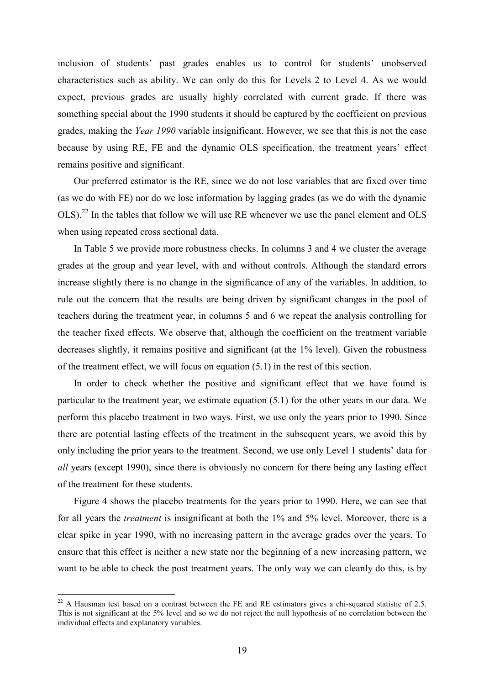inclusion of students' past grades enables us to control for students' unobserved characteristics such as ability. We can only do this for Levels 2 to Level 4. As we would expect, previous grades are usually highly correlated with current grade. If there was something special about the 1990 students it should be captured by the coefficient on previous grades, making the Year 1990 variable insignificant. However, we see that this is not the case because by using RE, FE and the dynamic OLS specification, the treatment years' effect remains positive and significant.

Our preferred estimator is the RE, since we do not lose variables that are fixed over time (as we do with FE) nor do we lose information by lagging grades (as we do with the dynamic OLS).<sup>22</sup> In the tables that follow we will use RE whenever we use the panel element and OLS when using repeated cross sectional data.

In Table 5 we provide more robustness checks. In columns 3 and 4 we cluster the average grades at the group and year level, with and without controls. Although the standard errors increase slightly there is no change in the significance of any of the variables. In addition, to rule out the concern that the results are being driven by significant changes in the pool of teachers during the treatment year, in columns 5 and 6 we repeat the analysis controlling for the teacher fixed effects. We observe that, although the coefficient on the treatment variable decreases slightly, it remains positive and significant (at the 1% level). Given the robustness of the treatment effect, we will focus on equation (5.1) in the rest of this section.

In order to check whether the positive and significant effect that we have found is particular to the treatment year, we estimate equation (5.1) for the other years in our data. We perform this placebo treatment in two ways. First, we use only the years prior to 1990. Since there are potential lasting effects of the treatment in the subsequent years, we avoid this by only including the prior years to the treatment. Second, we use only Level 1 students' data for all years (except 1990), since there is obviously no concern for there being any lasting effect of the treatment for these students.

Figure 4 shows the placebo treatments for the years prior to 1990. Here, we can see that for all years the treatment is insignificant at both the 1% and 5% level. Moreover, there is a clear spike in year 1990, with no increasing pattern in the average grades over the years. To ensure that this effect is neither a new state nor the beginning of a new increasing pattern, we want to be able to check the post treatment years. The only way we can cleanly do this, is by

 $\overline{a}$ 

 $22$  A Hausman test based on a contrast between the FE and RE estimators gives a chi-squared statistic of 2.5. This is not significant at the 5% level and so we do not reject the null hypothesis of no correlation between the individual effects and explanatory variables.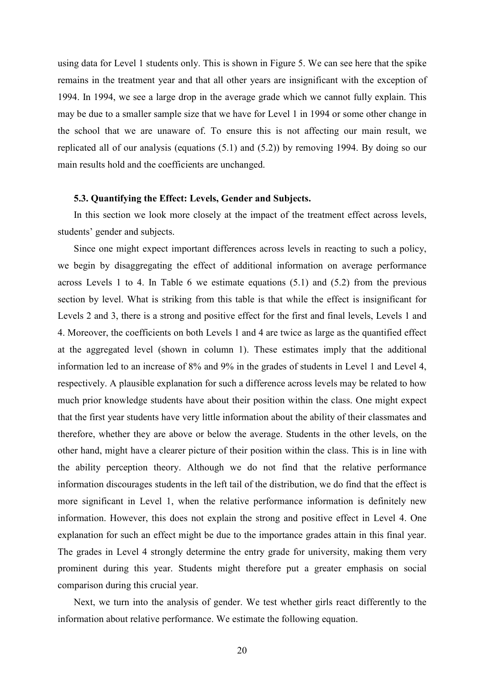using data for Level 1 students only. This is shown in Figure 5. We can see here that the spike remains in the treatment year and that all other years are insignificant with the exception of 1994. In 1994, we see a large drop in the average grade which we cannot fully explain. This may be due to a smaller sample size that we have for Level 1 in 1994 or some other change in the school that we are unaware of. To ensure this is not affecting our main result, we replicated all of our analysis (equations (5.1) and (5.2)) by removing 1994. By doing so our main results hold and the coefficients are unchanged.

#### 5.3. Quantifying the Effect: Levels, Gender and Subjects.

In this section we look more closely at the impact of the treatment effect across levels, students' gender and subjects.

Since one might expect important differences across levels in reacting to such a policy, we begin by disaggregating the effect of additional information on average performance across Levels 1 to 4. In Table 6 we estimate equations (5.1) and (5.2) from the previous section by level. What is striking from this table is that while the effect is insignificant for Levels 2 and 3, there is a strong and positive effect for the first and final levels, Levels 1 and 4. Moreover, the coefficients on both Levels 1 and 4 are twice as large as the quantified effect at the aggregated level (shown in column 1). These estimates imply that the additional information led to an increase of 8% and 9% in the grades of students in Level 1 and Level 4, respectively. A plausible explanation for such a difference across levels may be related to how much prior knowledge students have about their position within the class. One might expect that the first year students have very little information about the ability of their classmates and therefore, whether they are above or below the average. Students in the other levels, on the other hand, might have a clearer picture of their position within the class. This is in line with the ability perception theory. Although we do not find that the relative performance information discourages students in the left tail of the distribution, we do find that the effect is more significant in Level 1, when the relative performance information is definitely new information. However, this does not explain the strong and positive effect in Level 4. One explanation for such an effect might be due to the importance grades attain in this final year. The grades in Level 4 strongly determine the entry grade for university, making them very prominent during this year. Students might therefore put a greater emphasis on social comparison during this crucial year.

Next, we turn into the analysis of gender. We test whether girls react differently to the information about relative performance. We estimate the following equation.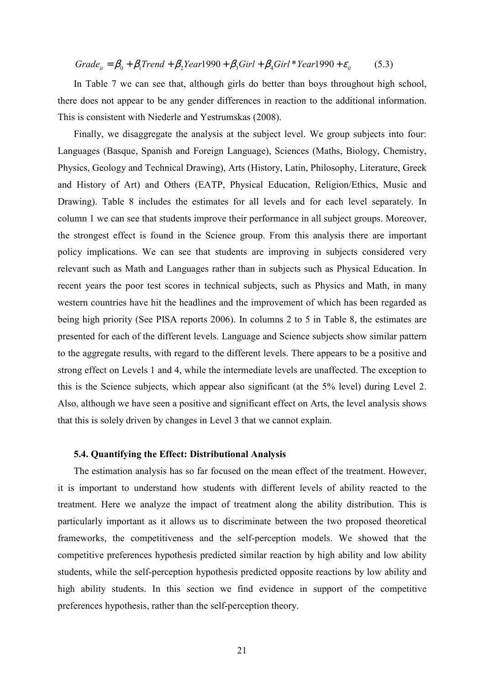Grade<sub>it</sub> =  $\beta_0 + \beta_1$ Trend +  $\beta_2$ Year 1990 +  $\beta_3$ Girl +  $\beta_4$ Girl \* Year 1990 +  $\varepsilon$ <sub>it</sub> (5.3)

In Table 7 we can see that, although girls do better than boys throughout high school, there does not appear to be any gender differences in reaction to the additional information. This is consistent with Niederle and Yestrumskas (2008).

Finally, we disaggregate the analysis at the subject level. We group subjects into four: Languages (Basque, Spanish and Foreign Language), Sciences (Maths, Biology, Chemistry, Physics, Geology and Technical Drawing), Arts (History, Latin, Philosophy, Literature, Greek and History of Art) and Others (EATP, Physical Education, Religion/Ethics, Music and Drawing). Table 8 includes the estimates for all levels and for each level separately. In column 1 we can see that students improve their performance in all subject groups. Moreover, the strongest effect is found in the Science group. From this analysis there are important policy implications. We can see that students are improving in subjects considered very relevant such as Math and Languages rather than in subjects such as Physical Education. In recent years the poor test scores in technical subjects, such as Physics and Math, in many western countries have hit the headlines and the improvement of which has been regarded as being high priority (See PISA reports 2006). In columns 2 to 5 in Table 8, the estimates are presented for each of the different levels. Language and Science subjects show similar pattern to the aggregate results, with regard to the different levels. There appears to be a positive and strong effect on Levels 1 and 4, while the intermediate levels are unaffected. The exception to this is the Science subjects, which appear also significant (at the 5% level) during Level 2. Also, although we have seen a positive and significant effect on Arts, the level analysis shows that this is solely driven by changes in Level 3 that we cannot explain.

#### 5.4. Quantifying the Effect: Distributional Analysis

The estimation analysis has so far focused on the mean effect of the treatment. However, it is important to understand how students with different levels of ability reacted to the treatment. Here we analyze the impact of treatment along the ability distribution. This is particularly important as it allows us to discriminate between the two proposed theoretical frameworks, the competitiveness and the self-perception models. We showed that the competitive preferences hypothesis predicted similar reaction by high ability and low ability students, while the self-perception hypothesis predicted opposite reactions by low ability and high ability students. In this section we find evidence in support of the competitive preferences hypothesis, rather than the self-perception theory.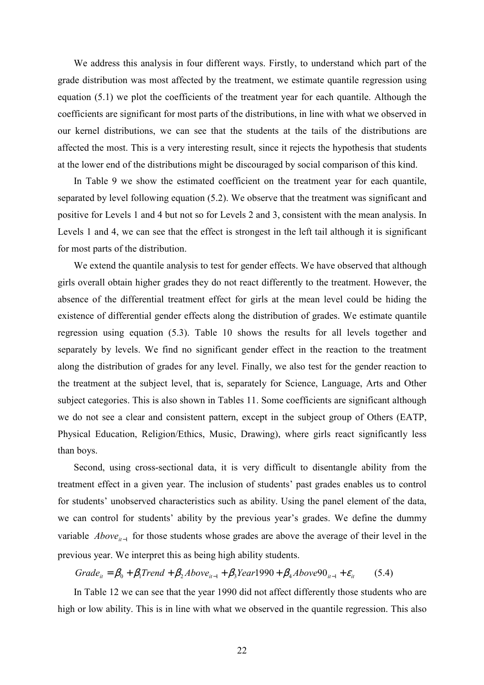We address this analysis in four different ways. Firstly, to understand which part of the grade distribution was most affected by the treatment, we estimate quantile regression using equation (5.1) we plot the coefficients of the treatment year for each quantile. Although the coefficients are significant for most parts of the distributions, in line with what we observed in our kernel distributions, we can see that the students at the tails of the distributions are affected the most. This is a very interesting result, since it rejects the hypothesis that students at the lower end of the distributions might be discouraged by social comparison of this kind.

In Table 9 we show the estimated coefficient on the treatment year for each quantile, separated by level following equation (5.2). We observe that the treatment was significant and positive for Levels 1 and 4 but not so for Levels 2 and 3, consistent with the mean analysis. In Levels 1 and 4, we can see that the effect is strongest in the left tail although it is significant for most parts of the distribution.

We extend the quantile analysis to test for gender effects. We have observed that although girls overall obtain higher grades they do not react differently to the treatment. However, the absence of the differential treatment effect for girls at the mean level could be hiding the existence of differential gender effects along the distribution of grades. We estimate quantile regression using equation (5.3). Table 10 shows the results for all levels together and separately by levels. We find no significant gender effect in the reaction to the treatment along the distribution of grades for any level. Finally, we also test for the gender reaction to the treatment at the subject level, that is, separately for Science, Language, Arts and Other subject categories. This is also shown in Tables 11. Some coefficients are significant although we do not see a clear and consistent pattern, except in the subject group of Others (EATP, Physical Education, Religion/Ethics, Music, Drawing), where girls react significantly less than boys.

Second, using cross-sectional data, it is very difficult to disentangle ability from the treatment effect in a given year. The inclusion of students' past grades enables us to control for students' unobserved characteristics such as ability. Using the panel element of the data, we can control for students' ability by the previous year's grades. We define the dummy variable *Above*<sub>it−1</sub> for those students whose grades are above the average of their level in the previous year. We interpret this as being high ability students.

Grade<sub>it</sub> =  $\beta_0 + \beta_1$ Trend +  $\beta_2$ Above<sub>it-1</sub> +  $\beta_3$ Year 1990 +  $\beta_4$ Above90<sub>it-1</sub> +  $\varepsilon$ <sub>it</sub> (5.4)

In Table 12 we can see that the year 1990 did not affect differently those students who are high or low ability. This is in line with what we observed in the quantile regression. This also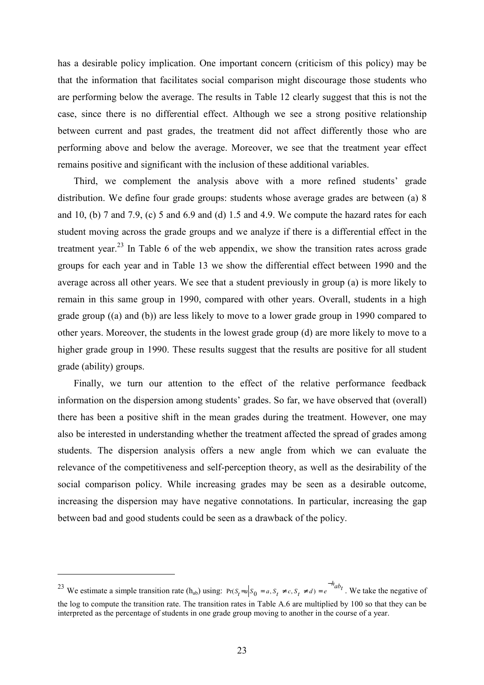has a desirable policy implication. One important concern (criticism of this policy) may be that the information that facilitates social comparison might discourage those students who are performing below the average. The results in Table 12 clearly suggest that this is not the case, since there is no differential effect. Although we see a strong positive relationship between current and past grades, the treatment did not affect differently those who are performing above and below the average. Moreover, we see that the treatment year effect remains positive and significant with the inclusion of these additional variables.

Third, we complement the analysis above with a more refined students' grade distribution. We define four grade groups: students whose average grades are between (a) 8 and 10, (b) 7 and 7.9, (c) 5 and 6.9 and (d) 1.5 and 4.9. We compute the hazard rates for each student moving across the grade groups and we analyze if there is a differential effect in the treatment year.<sup>23</sup> In Table 6 of the web appendix, we show the transition rates across grade groups for each year and in Table 13 we show the differential effect between 1990 and the average across all other years. We see that a student previously in group (a) is more likely to remain in this same group in 1990, compared with other years. Overall, students in a high grade group ((a) and (b)) are less likely to move to a lower grade group in 1990 compared to other years. Moreover, the students in the lowest grade group (d) are more likely to move to a higher grade group in 1990. These results suggest that the results are positive for all student grade (ability) groups.

Finally, we turn our attention to the effect of the relative performance feedback information on the dispersion among students' grades. So far, we have observed that (overall) there has been a positive shift in the mean grades during the treatment. However, one may also be interested in understanding whether the treatment affected the spread of grades among students. The dispersion analysis offers a new angle from which we can evaluate the relevance of the competitiveness and self-perception theory, as well as the desirability of the social comparison policy. While increasing grades may be seen as a desirable outcome, increasing the dispersion may have negative connotations. In particular, increasing the gap between bad and good students could be seen as a drawback of the policy.

 $\overline{a}$ 

<sup>&</sup>lt;sup>23</sup> We estimate a simple transition rate (h<sub>ab</sub>) using:  $Pr(S_t = a | S_0 = a, S_t \neq c, S_t \neq d) = e^{-h_{ab}t}$ −  $Pr(S_t = a | S_0 = a, S_t \neq c, S_t \neq d) = e^{-avt}$ . We take the negative of the log to compute the transition rate. The transition rates in Table A.6 are multiplied by 100 so that they can be interpreted as the percentage of students in one grade group moving to another in the course of a year.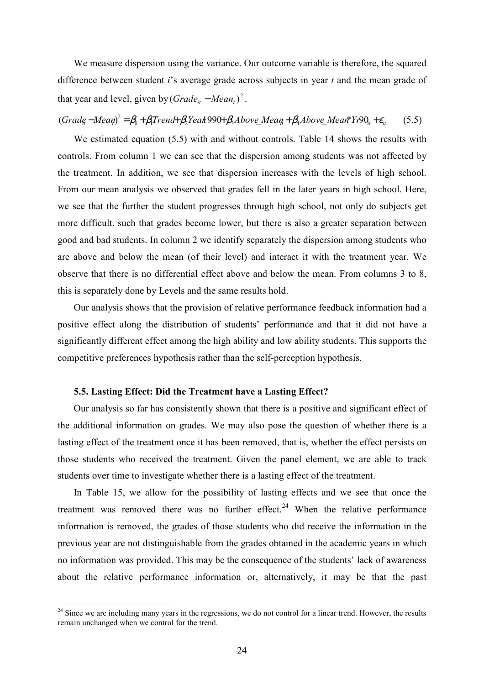We measure dispersion using the variance. Our outcome variable is therefore, the squared difference between student  $i$ 's average grade across subjects in year  $t$  and the mean grade of that year and level, given by  $(\text{Grade}_{it} - \text{Mean}_{t})^2$ .

#### (Gradeff  $-Mean^2 = \beta_0 + \beta_1 Trend + \beta_2 Year 990 + \beta_3 Above_Mean + \beta_4 Above_Mean^*Yr 90_n + \varepsilon_n$ (5.5)

We estimated equation (5.5) with and without controls. Table 14 shows the results with controls. From column 1 we can see that the dispersion among students was not affected by the treatment. In addition, we see that dispersion increases with the levels of high school. From our mean analysis we observed that grades fell in the later years in high school. Here, we see that the further the student progresses through high school, not only do subjects get more difficult, such that grades become lower, but there is also a greater separation between good and bad students. In column 2 we identify separately the dispersion among students who are above and below the mean (of their level) and interact it with the treatment year. We observe that there is no differential effect above and below the mean. From columns 3 to 8, this is separately done by Levels and the same results hold.

Our analysis shows that the provision of relative performance feedback information had a positive effect along the distribution of students' performance and that it did not have a significantly different effect among the high ability and low ability students. This supports the competitive preferences hypothesis rather than the self-perception hypothesis.

#### 5.5. Lasting Effect: Did the Treatment have a Lasting Effect?

 $\overline{a}$ 

Our analysis so far has consistently shown that there is a positive and significant effect of the additional information on grades. We may also pose the question of whether there is a lasting effect of the treatment once it has been removed, that is, whether the effect persists on those students who received the treatment. Given the panel element, we are able to track students over time to investigate whether there is a lasting effect of the treatment.

In Table 15, we allow for the possibility of lasting effects and we see that once the treatment was removed there was no further effect.<sup>24</sup> When the relative performance information is removed, the grades of those students who did receive the information in the previous year are not distinguishable from the grades obtained in the academic years in which no information was provided. This may be the consequence of the students' lack of awareness about the relative performance information or, alternatively, it may be that the past

<sup>&</sup>lt;sup>24</sup> Since we are including many years in the regressions, we do not control for a linear trend. However, the results remain unchanged when we control for the trend.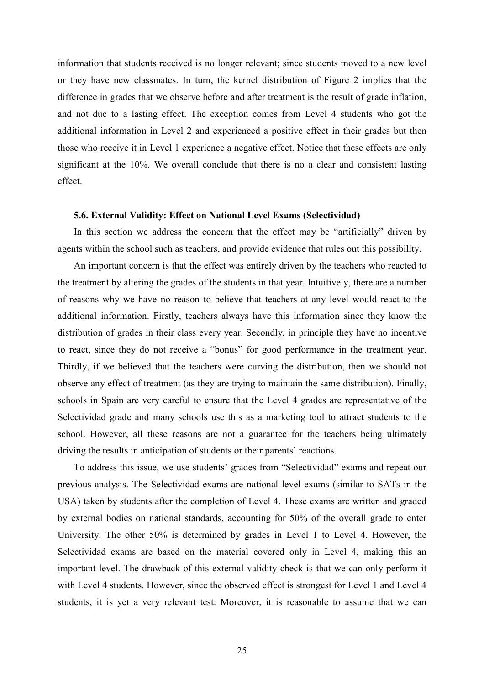information that students received is no longer relevant; since students moved to a new level or they have new classmates. In turn, the kernel distribution of Figure 2 implies that the difference in grades that we observe before and after treatment is the result of grade inflation, and not due to a lasting effect. The exception comes from Level 4 students who got the additional information in Level 2 and experienced a positive effect in their grades but then those who receive it in Level 1 experience a negative effect. Notice that these effects are only significant at the 10%. We overall conclude that there is no a clear and consistent lasting effect.

#### 5.6. External Validity: Effect on National Level Exams (Selectividad)

In this section we address the concern that the effect may be "artificially" driven by agents within the school such as teachers, and provide evidence that rules out this possibility.

An important concern is that the effect was entirely driven by the teachers who reacted to the treatment by altering the grades of the students in that year. Intuitively, there are a number of reasons why we have no reason to believe that teachers at any level would react to the additional information. Firstly, teachers always have this information since they know the distribution of grades in their class every year. Secondly, in principle they have no incentive to react, since they do not receive a "bonus" for good performance in the treatment year. Thirdly, if we believed that the teachers were curving the distribution, then we should not observe any effect of treatment (as they are trying to maintain the same distribution). Finally, schools in Spain are very careful to ensure that the Level 4 grades are representative of the Selectividad grade and many schools use this as a marketing tool to attract students to the school. However, all these reasons are not a guarantee for the teachers being ultimately driving the results in anticipation of students or their parents' reactions.

To address this issue, we use students' grades from "Selectividad" exams and repeat our previous analysis. The Selectividad exams are national level exams (similar to SATs in the USA) taken by students after the completion of Level 4. These exams are written and graded by external bodies on national standards, accounting for 50% of the overall grade to enter University. The other 50% is determined by grades in Level 1 to Level 4. However, the Selectividad exams are based on the material covered only in Level 4, making this an important level. The drawback of this external validity check is that we can only perform it with Level 4 students. However, since the observed effect is strongest for Level 1 and Level 4 students, it is yet a very relevant test. Moreover, it is reasonable to assume that we can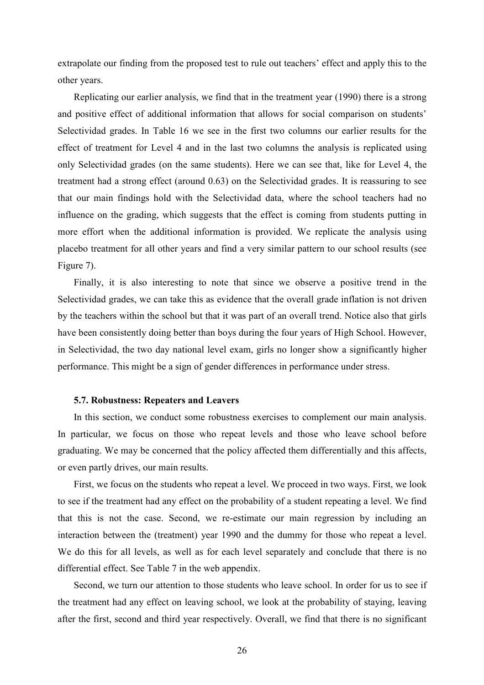extrapolate our finding from the proposed test to rule out teachers' effect and apply this to the other years.

Replicating our earlier analysis, we find that in the treatment year (1990) there is a strong and positive effect of additional information that allows for social comparison on students' Selectividad grades. In Table 16 we see in the first two columns our earlier results for the effect of treatment for Level 4 and in the last two columns the analysis is replicated using only Selectividad grades (on the same students). Here we can see that, like for Level 4, the treatment had a strong effect (around 0.63) on the Selectividad grades. It is reassuring to see that our main findings hold with the Selectividad data, where the school teachers had no influence on the grading, which suggests that the effect is coming from students putting in more effort when the additional information is provided. We replicate the analysis using placebo treatment for all other years and find a very similar pattern to our school results (see Figure 7).

Finally, it is also interesting to note that since we observe a positive trend in the Selectividad grades, we can take this as evidence that the overall grade inflation is not driven by the teachers within the school but that it was part of an overall trend. Notice also that girls have been consistently doing better than boys during the four years of High School. However, in Selectividad, the two day national level exam, girls no longer show a significantly higher performance. This might be a sign of gender differences in performance under stress.

#### 5.7. Robustness: Repeaters and Leavers

In this section, we conduct some robustness exercises to complement our main analysis. In particular, we focus on those who repeat levels and those who leave school before graduating. We may be concerned that the policy affected them differentially and this affects, or even partly drives, our main results.

First, we focus on the students who repeat a level. We proceed in two ways. First, we look to see if the treatment had any effect on the probability of a student repeating a level. We find that this is not the case. Second, we re-estimate our main regression by including an interaction between the (treatment) year 1990 and the dummy for those who repeat a level. We do this for all levels, as well as for each level separately and conclude that there is no differential effect. See Table 7 in the web appendix.

Second, we turn our attention to those students who leave school. In order for us to see if the treatment had any effect on leaving school, we look at the probability of staying, leaving after the first, second and third year respectively. Overall, we find that there is no significant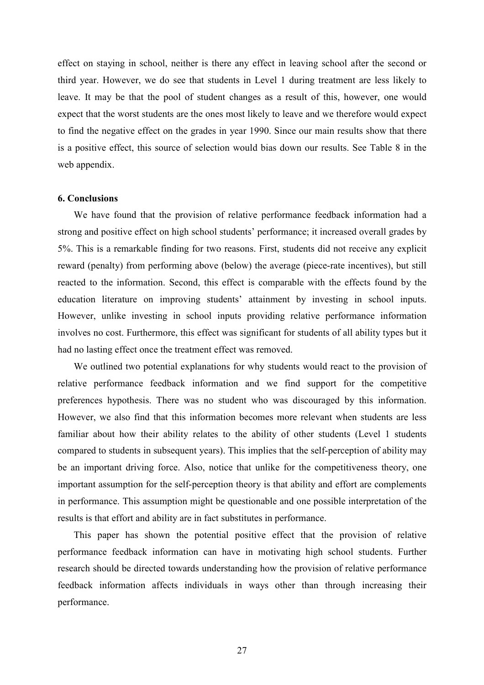effect on staying in school, neither is there any effect in leaving school after the second or third year. However, we do see that students in Level 1 during treatment are less likely to leave. It may be that the pool of student changes as a result of this, however, one would expect that the worst students are the ones most likely to leave and we therefore would expect to find the negative effect on the grades in year 1990. Since our main results show that there is a positive effect, this source of selection would bias down our results. See Table 8 in the web appendix.

#### 6. Conclusions

We have found that the provision of relative performance feedback information had a strong and positive effect on high school students' performance; it increased overall grades by 5%. This is a remarkable finding for two reasons. First, students did not receive any explicit reward (penalty) from performing above (below) the average (piece-rate incentives), but still reacted to the information. Second, this effect is comparable with the effects found by the education literature on improving students' attainment by investing in school inputs. However, unlike investing in school inputs providing relative performance information involves no cost. Furthermore, this effect was significant for students of all ability types but it had no lasting effect once the treatment effect was removed.

We outlined two potential explanations for why students would react to the provision of relative performance feedback information and we find support for the competitive preferences hypothesis. There was no student who was discouraged by this information. However, we also find that this information becomes more relevant when students are less familiar about how their ability relates to the ability of other students (Level 1 students compared to students in subsequent years). This implies that the self-perception of ability may be an important driving force. Also, notice that unlike for the competitiveness theory, one important assumption for the self-perception theory is that ability and effort are complements in performance. This assumption might be questionable and one possible interpretation of the results is that effort and ability are in fact substitutes in performance.

This paper has shown the potential positive effect that the provision of relative performance feedback information can have in motivating high school students. Further research should be directed towards understanding how the provision of relative performance feedback information affects individuals in ways other than through increasing their performance.

27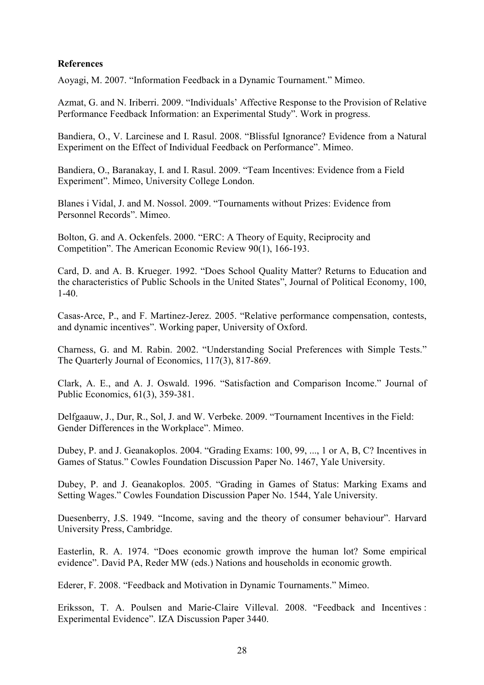## **References**

Aoyagi, M. 2007. "Information Feedback in a Dynamic Tournament." Mimeo.

Azmat, G. and N. Iriberri. 2009. "Individuals' Affective Response to the Provision of Relative Performance Feedback Information: an Experimental Study". Work in progress.

Bandiera, O., V. Larcinese and I. Rasul. 2008. "Blissful Ignorance? Evidence from a Natural Experiment on the Effect of Individual Feedback on Performance". Mimeo.

Bandiera, O., Baranakay, I. and I. Rasul. 2009. "Team Incentives: Evidence from a Field Experiment". Mimeo, University College London.

Blanes i Vidal, J. and M. Nossol. 2009. "Tournaments without Prizes: Evidence from Personnel Records". Mimeo.

Bolton, G. and A. Ockenfels. 2000. "ERC: A Theory of Equity, Reciprocity and Competition". The American Economic Review 90(1), 166-193.

Card, D. and A. B. Krueger. 1992. "Does School Quality Matter? Returns to Education and the characteristics of Public Schools in the United States", Journal of Political Economy, 100, 1-40.

Casas-Arce, P., and F. Martinez-Jerez. 2005. "Relative performance compensation, contests, and dynamic incentives". Working paper, University of Oxford.

Charness, G. and M. Rabin. 2002. "Understanding Social Preferences with Simple Tests." The Quarterly Journal of Economics, 117(3), 817-869.

Clark, A. E., and A. J. Oswald. 1996. "Satisfaction and Comparison Income." Journal of Public Economics, 61(3), 359-381.

Delfgaauw, J., Dur, R., Sol, J. and W. Verbeke. 2009. "Tournament Incentives in the Field: Gender Differences in the Workplace". Mimeo.

Dubey, P. and J. Geanakoplos. 2004. "Grading Exams: 100, 99, ..., 1 or A, B, C? Incentives in Games of Status." Cowles Foundation Discussion Paper No. 1467, Yale University.

Dubey, P. and J. Geanakoplos. 2005. "Grading in Games of Status: Marking Exams and Setting Wages." Cowles Foundation Discussion Paper No. 1544, Yale University.

Duesenberry, J.S. 1949. "Income, saving and the theory of consumer behaviour". Harvard University Press, Cambridge.

Easterlin, R. A. 1974. "Does economic growth improve the human lot? Some empirical evidence". David PA, Reder MW (eds.) Nations and households in economic growth.

Ederer, F. 2008. "Feedback and Motivation in Dynamic Tournaments." Mimeo.

Eriksson, T. A. Poulsen and Marie-Claire Villeval. 2008. "Feedback and Incentives : Experimental Evidence". IZA Discussion Paper 3440.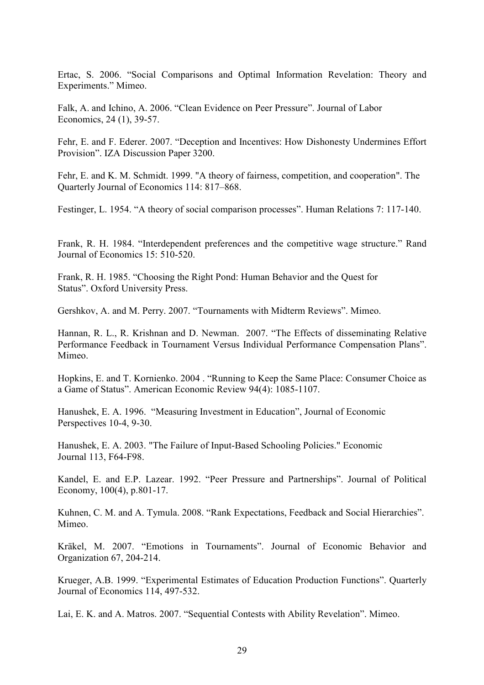Ertac, S. 2006. "Social Comparisons and Optimal Information Revelation: Theory and Experiments." Mimeo.

Falk, A. and Ichino, A. 2006. "Clean Evidence on Peer Pressure". Journal of Labor Economics, 24 (1), 39-57.

Fehr, E. and F. Ederer. 2007. "Deception and Incentives: How Dishonesty Undermines Effort Provision". IZA Discussion Paper 3200.

Fehr, E. and K. M. Schmidt. 1999. "A theory of fairness, competition, and cooperation". The Quarterly Journal of Economics 114: 817–868.

Festinger, L. 1954. "A theory of social comparison processes". Human Relations 7: 117-140.

Frank, R. H. 1984. "Interdependent preferences and the competitive wage structure." Rand Journal of Economics 15: 510-520.

Frank, R. H. 1985. "Choosing the Right Pond: Human Behavior and the Quest for Status". Oxford University Press.

Gershkov, A. and M. Perry. 2007. "Tournaments with Midterm Reviews". Mimeo.

Hannan, R. L., R. Krishnan and D. Newman. 2007. "The Effects of disseminating Relative Performance Feedback in Tournament Versus Individual Performance Compensation Plans". Mimeo.

Hopkins, E. and T. Kornienko. 2004 . "Running to Keep the Same Place: Consumer Choice as a Game of Status". American Economic Review 94(4): 1085-1107.

Hanushek, E. A. 1996. "Measuring Investment in Education", Journal of Economic Perspectives 10-4, 9-30.

Hanushek, E. A. 2003. "The Failure of Input-Based Schooling Policies." Economic Journal 113, F64-F98.

Kandel, E. and E.P. Lazear. 1992. "Peer Pressure and Partnerships". Journal of Political Economy, 100(4), p.801-17.

Kuhnen, C. M. and A. Tymula. 2008. "Rank Expectations, Feedback and Social Hierarchies". Mimeo.

Kräkel, M. 2007. "Emotions in Tournaments". Journal of Economic Behavior and Organization 67, 204-214.

Krueger, A.B. 1999. "Experimental Estimates of Education Production Functions". Quarterly Journal of Economics 114, 497-532.

Lai, E. K. and A. Matros. 2007. "Sequential Contests with Ability Revelation". Mimeo.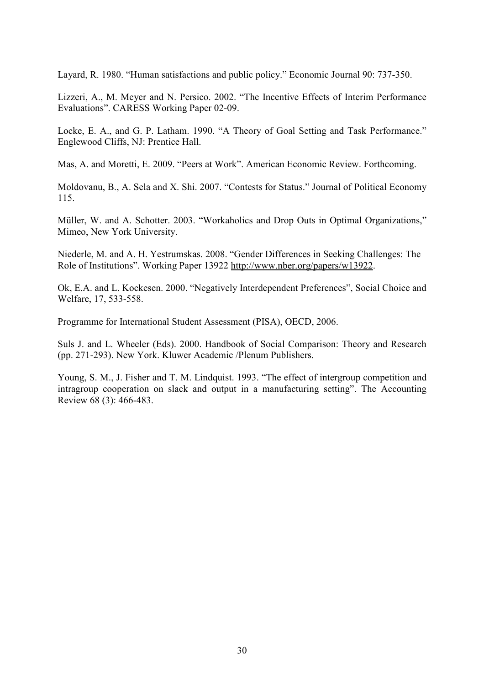Layard, R. 1980. "Human satisfactions and public policy." Economic Journal 90: 737-350.

Lizzeri, A., M. Meyer and N. Persico. 2002. "The Incentive Effects of Interim Performance Evaluations". CARESS Working Paper 02-09.

Locke, E. A., and G. P. Latham. 1990. "A Theory of Goal Setting and Task Performance." Englewood Cliffs, NJ: Prentice Hall.

Mas, A. and Moretti, E. 2009. "Peers at Work". American Economic Review. Forthcoming.

Moldovanu, B., A. Sela and X. Shi. 2007. "Contests for Status." Journal of Political Economy 115.

Müller, W. and A. Schotter. 2003. "Workaholics and Drop Outs in Optimal Organizations," Mimeo, New York University.

Niederle, M. and A. H. Yestrumskas. 2008. "Gender Differences in Seeking Challenges: The Role of Institutions". Working Paper 13922 http://www.nber.org/papers/w13922.

Ok, E.A. and L. Kockesen. 2000. "Negatively Interdependent Preferences", Social Choice and Welfare, 17, 533-558.

Programme for International Student Assessment (PISA), OECD, 2006.

Suls J. and L. Wheeler (Eds). 2000. Handbook of Social Comparison: Theory and Research (pp. 271-293). New York. Kluwer Academic /Plenum Publishers.

Young, S. M., J. Fisher and T. M. Lindquist. 1993. "The effect of intergroup competition and intragroup cooperation on slack and output in a manufacturing setting". The Accounting Review 68 (3): 466-483.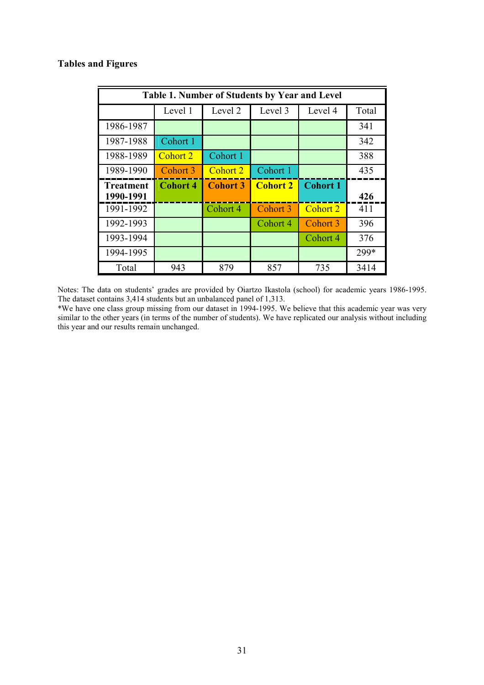# Tables and Figures

|                  |                 | Table 1. Number of Students by Year and Level |                 |                 |       |
|------------------|-----------------|-----------------------------------------------|-----------------|-----------------|-------|
|                  | Level 1         | Level 2                                       | Level 3         | Level 4         | Total |
| 1986-1987        |                 |                                               |                 |                 | 341   |
| 1987-1988        | Cohort 1        |                                               |                 |                 | 342   |
| 1988-1989        | Cohort 2        | Cohort 1                                      |                 |                 | 388   |
| 1989-1990        | Cohort 3        | Cohort 2                                      | Cohort 1        |                 | 435   |
| <b>Treatment</b> | <b>Cohort 4</b> | <b>Cohort 3</b>                               | <b>Cohort 2</b> | <b>Cohort 1</b> |       |
| 1990-1991        |                 |                                               |                 |                 | 426   |
| 1991-1992        |                 | Cohort 4                                      | Cohort 3        | <b>Cohort 2</b> | 411   |
| 1992-1993        |                 |                                               | Cohort 4        | Cohort 3        | 396   |
| 1993-1994        |                 |                                               |                 | Cohort 4        | 376   |
| 1994-1995        |                 |                                               |                 |                 | 299*  |
| Total            | 943             | 879                                           | 857             | 735             | 3414  |

Notes: The data on students' grades are provided by Oiartzo Ikastola (school) for academic years 1986-1995. The dataset contains 3,414 students but an unbalanced panel of 1,313.

\*We have one class group missing from our dataset in 1994-1995. We believe that this academic year was very similar to the other years (in terms of the number of students). We have replicated our analysis without including this year and our results remain unchanged.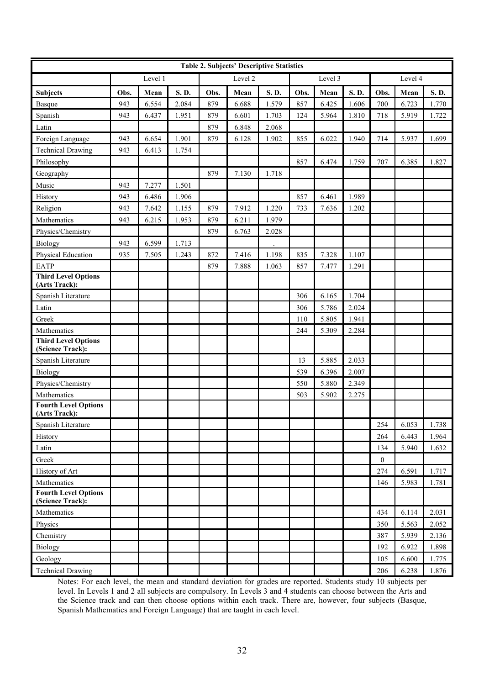| <b>Table 2. Subjects' Descriptive Statistics</b> |      |         |       |      |         |       |      |         |       |              |         |       |
|--------------------------------------------------|------|---------|-------|------|---------|-------|------|---------|-------|--------------|---------|-------|
|                                                  |      | Level 1 |       |      | Level 2 |       |      | Level 3 |       |              | Level 4 |       |
| <b>Subjects</b>                                  | Obs. | Mean    | S.D.  | Obs. | Mean    | S.D.  | Obs. | Mean    | S.D.  | Obs.         | Mean    | S.D.  |
| Basque                                           | 943  | 6.554   | 2.084 | 879  | 6.688   | 1.579 | 857  | 6.425   | 1.606 | 700          | 6.723   | 1.770 |
| Spanish                                          | 943  | 6.437   | 1.951 | 879  | 6.601   | 1.703 | 124  | 5.964   | 1.810 | 718          | 5.919   | 1.722 |
| Latin                                            |      |         |       | 879  | 6.848   | 2.068 |      |         |       |              |         |       |
| Foreign Language                                 | 943  | 6.654   | 1.901 | 879  | 6.128   | 1.902 | 855  | 6.022   | 1.940 | 714          | 5.937   | 1.699 |
| <b>Technical Drawing</b>                         | 943  | 6.413   | 1.754 |      |         |       |      |         |       |              |         |       |
| Philosophy                                       |      |         |       |      |         |       | 857  | 6.474   | 1.759 | 707          | 6.385   | 1.827 |
| Geography                                        |      |         |       | 879  | 7.130   | 1.718 |      |         |       |              |         |       |
| Music                                            | 943  | 7.277   | 1.501 |      |         |       |      |         |       |              |         |       |
| History                                          | 943  | 6.486   | 1.906 |      |         |       | 857  | 6.461   | 1.989 |              |         |       |
| Religion                                         | 943  | 7.642   | 1.155 | 879  | 7.912   | 1.220 | 733  | 7.636   | 1.202 |              |         |       |
| Mathematics                                      | 943  | 6.215   | 1.953 | 879  | 6.211   | 1.979 |      |         |       |              |         |       |
| Physics/Chemistry                                |      |         |       | 879  | 6.763   | 2.028 |      |         |       |              |         |       |
| Biology                                          | 943  | 6.599   | 1.713 |      |         |       |      |         |       |              |         |       |
| Physical Education                               | 935  | 7.505   | 1.243 | 872  | 7.416   | 1.198 | 835  | 7.328   | 1.107 |              |         |       |
| <b>EATP</b>                                      |      |         |       | 879  | 7.888   | 1.063 | 857  | 7.477   | 1.291 |              |         |       |
| <b>Third Level Options</b><br>(Arts Track):      |      |         |       |      |         |       |      |         |       |              |         |       |
| Spanish Literature                               |      |         |       |      |         |       | 306  | 6.165   | 1.704 |              |         |       |
| Latin                                            |      |         |       |      |         |       | 306  | 5.786   | 2.024 |              |         |       |
| Greek                                            |      |         |       |      |         |       | 110  | 5.805   | 1.941 |              |         |       |
| Mathematics                                      |      |         |       |      |         |       | 244  | 5.309   | 2.284 |              |         |       |
| <b>Third Level Options</b><br>(Science Track):   |      |         |       |      |         |       |      |         |       |              |         |       |
| Spanish Literature                               |      |         |       |      |         |       | 13   | 5.885   | 2.033 |              |         |       |
| Biology                                          |      |         |       |      |         |       | 539  | 6.396   | 2.007 |              |         |       |
| Physics/Chemistry                                |      |         |       |      |         |       | 550  | 5.880   | 2.349 |              |         |       |
| Mathematics                                      |      |         |       |      |         |       | 503  | 5.902   | 2.275 |              |         |       |
| <b>Fourth Level Options</b>                      |      |         |       |      |         |       |      |         |       |              |         |       |
| (Arts Track):                                    |      |         |       |      |         |       |      |         |       |              |         |       |
| Spanish Literature                               |      |         |       |      |         |       |      |         |       | 254          | 6.053   | 1.738 |
| History                                          |      |         |       |      |         |       |      |         |       | 264          | 6.443   | 1.964 |
| Latin                                            |      |         |       |      |         |       |      |         |       | 134          | 5.940   | 1.632 |
| Greek                                            |      |         |       |      |         |       |      |         |       | $\mathbf{0}$ |         |       |
| History of Art                                   |      |         |       |      |         |       |      |         |       | 274          | 6.591   | 1.717 |
| Mathematics                                      |      |         |       |      |         |       |      |         |       | 146          | 5.983   | 1.781 |
| <b>Fourth Level Options</b><br>(Science Track):  |      |         |       |      |         |       |      |         |       |              |         |       |
| Mathematics                                      |      |         |       |      |         |       |      |         |       | 434          | 6.114   | 2.031 |
| Physics                                          |      |         |       |      |         |       |      |         |       | 350          | 5.563   | 2.052 |
| Chemistry                                        |      |         |       |      |         |       |      |         |       | 387          | 5.939   | 2.136 |
| Biology                                          |      |         |       |      |         |       |      |         |       | 192          | 6.922   | 1.898 |
| Geology                                          |      |         |       |      |         |       |      |         |       | 105          | 6.600   | 1.775 |
| <b>Technical Drawing</b>                         |      |         |       |      |         |       |      |         |       | 206          | 6.238   | 1.876 |

Notes: For each level, the mean and standard deviation for grades are reported. Students study 10 subjects per level. In Levels 1 and 2 all subjects are compulsory. In Levels 3 and 4 students can choose between the Arts and the Science track and can then choose options within each track. There are, however, four subjects (Basque, Spanish Mathematics and Foreign Language) that are taught in each level.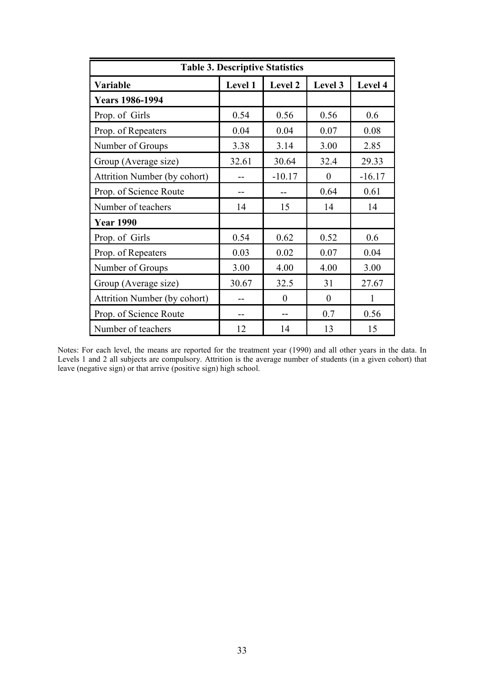|                              | <b>Table 3. Descriptive Statistics</b> |          |                  |          |
|------------------------------|----------------------------------------|----------|------------------|----------|
| Variable                     | Level 1                                | Level 2  | Level 3          | Level 4  |
| <b>Years 1986-1994</b>       |                                        |          |                  |          |
| Prop. of Girls               | 0.54                                   | 0.56     | 0.56             | 0.6      |
| Prop. of Repeaters           | 0.04                                   | 0.04     | 0.07             | 0.08     |
| Number of Groups             | 3.38                                   | 3.14     | 3.00             | 2.85     |
| Group (Average size)         | 32.61                                  | 30.64    | 32.4             | 29.33    |
| Attrition Number (by cohort) |                                        | $-10.17$ | $\boldsymbol{0}$ | $-16.17$ |
| Prop. of Science Route       |                                        | --       | 0.64             | 0.61     |
| Number of teachers           | 14                                     | 15       | 14               | 14       |
| <b>Year 1990</b>             |                                        |          |                  |          |
| Prop. of Girls               | 0.54                                   | 0.62     | 0.52             | 0.6      |
| Prop. of Repeaters           | 0.03                                   | 0.02     | 0.07             | 0.04     |
| Number of Groups             | 3.00                                   | 4.00     | 4.00             | 3.00     |
| Group (Average size)         | 30.67                                  | 32.5     | 31               | 27.67    |
| Attrition Number (by cohort) |                                        | $\theta$ | $\theta$         | 1        |
| Prop. of Science Route       |                                        |          | 0.7              | 0.56     |
| Number of teachers           | 12                                     | 14       | 13               | 15       |

Notes: For each level, the means are reported for the treatment year (1990) and all other years in the data. In Levels 1 and 2 all subjects are compulsory. Attrition is the average number of students (in a given cohort) that leave (negative sign) or that arrive (positive sign) high school.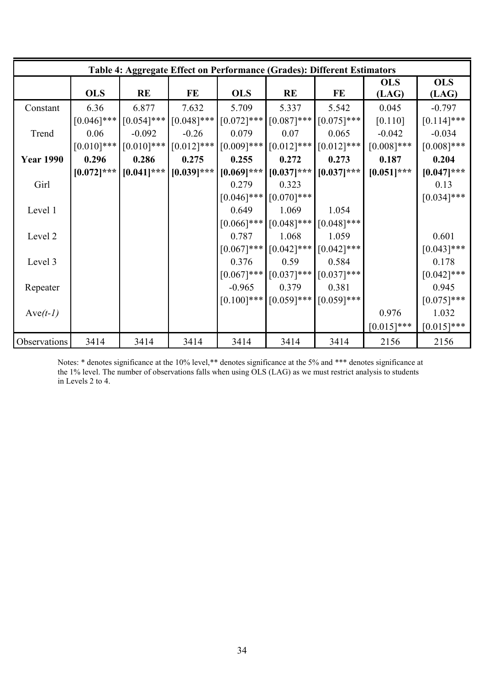|                  |            |                             |                                           |            |                                           | Table 4: Aggregate Effect on Performance (Grades): Different Estimators                  |               |               |
|------------------|------------|-----------------------------|-------------------------------------------|------------|-------------------------------------------|------------------------------------------------------------------------------------------|---------------|---------------|
|                  |            |                             |                                           |            |                                           |                                                                                          | <b>OLS</b>    | <b>OLS</b>    |
|                  | <b>OLS</b> | <b>RE</b>                   | FE                                        | <b>OLS</b> | RE                                        | FE                                                                                       | (LAG)         | (LAG)         |
| Constant         | 6.36       | 6.877                       | 7.632                                     | 5.709      | 5.337                                     | 5.542                                                                                    | 0.045         | $-0.797$      |
|                  |            |                             | $[0.046]$ *** $[0.054]$ *** $[0.048]$ *** |            | $[0.072]***$ $[0.087]***$                 | $[0.075]$ ***                                                                            | [0.110]       | $[0.114]$ *** |
| Trend            | 0.06       | $-0.092$                    | $-0.26$                                   | 0.079      | 0.07                                      | 0.065                                                                                    | $-0.042$      | $-0.034$      |
|                  |            |                             |                                           |            |                                           | $[0.010]$ *** $ [0.010]$ *** $ [0.012]$ *** $ [0.009]$ *** $ [0.012]$ *** $ [0.012]$ *** | $[0.008]$ *** | $[0.008]$ *** |
| <b>Year 1990</b> | 0.296      | 0.286                       | 0.275                                     | 0.255      | 0.272                                     | 0.273                                                                                    | 0.187         | 0.204         |
|                  |            | $[0.072]$ *** $[0.041]$ *** | $[0.039]$ ***                             |            | $[0.069]$ *** $[0.037]$ ***               | $[0.037]$ ***                                                                            | $[0.051]$ *** | $[0.047]$ *** |
| Girl             |            |                             |                                           | 0.279      | 0.323                                     |                                                                                          |               | 0.13          |
|                  |            |                             |                                           |            | $[0.046]$ *** $[0.070]$ ***               |                                                                                          |               | $[0.034]$ *** |
| Level 1          |            |                             |                                           | 0.649      | 1.069                                     | 1.054                                                                                    |               |               |
|                  |            |                             |                                           |            | $[0.066]$ *** $[0.048]$ *** $[0.048]$ *** |                                                                                          |               |               |
| Level 2          |            |                             |                                           | 0.787      | 1.068                                     | 1.059                                                                                    |               | 0.601         |
|                  |            |                             |                                           |            | $[0.067]$ *** $ [0.042]$ ***              | $[0.042]$ ***                                                                            |               | $[0.043]$ *** |
| Level 3          |            |                             |                                           | 0.376      | 0.59                                      | 0.584                                                                                    |               | 0.178         |
|                  |            |                             |                                           |            | $[0.067]$ *** $[0.037]$ ***               | $[0.037]***$                                                                             |               | $[0.042]$ *** |
| Repeater         |            |                             |                                           | $-0.965$   | 0.379                                     | 0.381                                                                                    |               | 0.945         |
|                  |            |                             |                                           |            | $[0.100]$ *** $[0.059]$ *** $[0.059]$ *** |                                                                                          |               | $[0.075]$ *** |
| $Ave(t-1)$       |            |                             |                                           |            |                                           |                                                                                          | 0.976         | 1.032         |
|                  |            |                             |                                           |            |                                           |                                                                                          | $[0.015]$ *** | $[0.015]$ *** |
| Observations     | 3414       | 3414                        | 3414                                      | 3414       | 3414                                      | 3414                                                                                     | 2156          | 2156          |

Notes: \* denotes significance at the 10% level,\*\* denotes significance at the 5% and \*\*\* denotes significance at the 1% level. The number of observations falls when using OLS (LAG) as we must restrict analysis to students in Levels 2 to 4.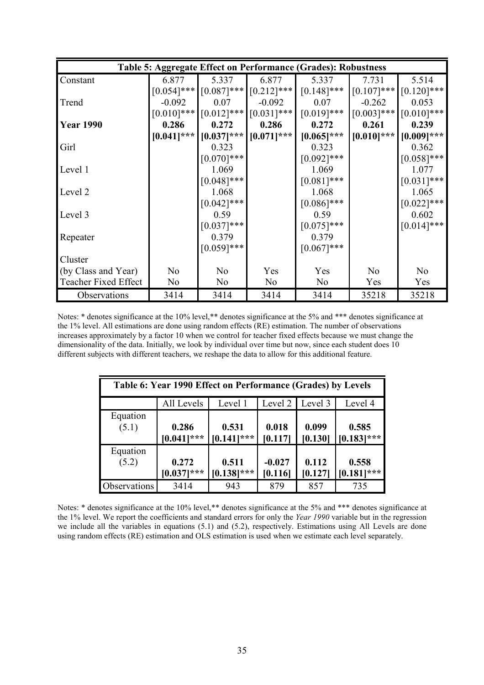|                      | Table 5: Aggregate Effect on Performance (Grades): Robustness |                |                                               |                                                                                          |                |                |  |  |  |  |  |  |  |
|----------------------|---------------------------------------------------------------|----------------|-----------------------------------------------|------------------------------------------------------------------------------------------|----------------|----------------|--|--|--|--|--|--|--|
| Constant             | 6.877                                                         | 5.337          | 6.877                                         | 5.337                                                                                    | 7.731          | 5.514          |  |  |  |  |  |  |  |
|                      |                                                               |                |                                               | $[0.054]$ *** $ [0.087]$ *** $ [0.212]$ *** $ [0.148]$ *** $ [0.107]$ *** $ [0.120]$ *** |                |                |  |  |  |  |  |  |  |
| Trend                | $-0.092$                                                      | 0.07           | $-0.092$                                      | 0.07                                                                                     | $-0.262$       | 0.053          |  |  |  |  |  |  |  |
|                      |                                                               |                |                                               | $[0.010]$ *** $ [0.012]$ *** $ [0.031]$ *** $ [0.019]$ *** $ [0.003]$ ***                |                | $[0.010]$ ***  |  |  |  |  |  |  |  |
| <b>Year 1990</b>     | 0.286                                                         | 0.272          | 0.286                                         | 0.272                                                                                    | 0.261          | 0.239          |  |  |  |  |  |  |  |
|                      |                                                               |                | $[0.041]$ *** $[0.037]$ *** $[0.071]$ *** $]$ | $[0.065]$ ***                                                                            | $[0.010]***$   | $[0.009]***$   |  |  |  |  |  |  |  |
| Girl                 |                                                               | 0.323          |                                               | 0.323                                                                                    |                | 0.362          |  |  |  |  |  |  |  |
|                      |                                                               | $[0.070]$ ***  |                                               | $[0.092]$ ***                                                                            |                | $[0.058]$ ***  |  |  |  |  |  |  |  |
| Level 1              |                                                               | 1.069          |                                               | 1.069                                                                                    |                | 1.077          |  |  |  |  |  |  |  |
|                      |                                                               | $[0.048]$ ***  |                                               | $[0.081]$ ***                                                                            |                | $[0.031]$ ***  |  |  |  |  |  |  |  |
| Level 2              |                                                               | 1.068          |                                               | 1.068                                                                                    |                | 1.065          |  |  |  |  |  |  |  |
|                      |                                                               | $[0.042]***$   |                                               | $[0.086]$ ***                                                                            |                | $[0.022]$ ***  |  |  |  |  |  |  |  |
| Level 3              |                                                               | 0.59           |                                               | 0.59                                                                                     |                | 0.602          |  |  |  |  |  |  |  |
|                      |                                                               | $[0.037]$ ***  |                                               | $[0.075]$ ***                                                                            |                | $[0.014]***$   |  |  |  |  |  |  |  |
| Repeater             |                                                               | 0.379          |                                               | 0.379                                                                                    |                |                |  |  |  |  |  |  |  |
|                      |                                                               | $[0.059]$ ***  |                                               | $[0.067]***$                                                                             |                |                |  |  |  |  |  |  |  |
| Cluster              |                                                               |                |                                               |                                                                                          |                |                |  |  |  |  |  |  |  |
| (by Class and Year)  | N <sub>o</sub>                                                | N <sub>0</sub> | Yes                                           | Yes                                                                                      | N <sub>0</sub> | N <sub>0</sub> |  |  |  |  |  |  |  |
| Teacher Fixed Effect | N <sub>0</sub>                                                | N <sub>0</sub> | N <sub>0</sub>                                | N <sub>0</sub>                                                                           | Yes            | Yes            |  |  |  |  |  |  |  |
| Observations         | 3414                                                          | 3414           | 3414                                          | 3414                                                                                     | 35218          | 35218          |  |  |  |  |  |  |  |

Notes: \* denotes significance at the 10% level,\*\* denotes significance at the 5% and \*\*\* denotes significance at the 1% level. All estimations are done using random effects (RE) estimation. The number of observations increases approximately by a factor 10 when we control for teacher fixed effects because we must change the dimensionality of the data. Initially, we look by individual over time but now, since each student does 10 different subjects with different teachers, we reshape the data to allow for this additional feature.

| Table 6: Year 1990 Effect on Performance (Grades) by Levels |                        |                                          |                     |                  |                        |  |  |  |  |  |  |
|-------------------------------------------------------------|------------------------|------------------------------------------|---------------------|------------------|------------------------|--|--|--|--|--|--|
|                                                             | All Levels             | Level 2<br>Level 3<br>Level 1<br>Level 4 |                     |                  |                        |  |  |  |  |  |  |
| Equation<br>(5.1)                                           | 0.286<br>$[0.041]$ *** | 0.531<br>$[0.141]$ ***                   | 0.018<br>[0.117]    | 0.099<br>[0.130] | 0.585<br>$[0.183]$ *** |  |  |  |  |  |  |
| Equation<br>(5.2)                                           | 0.272<br>$[0.037]$ *** | 0.511<br>$[0.138]$ ***                   | $-0.027$<br>[0.116] | 0.112<br>[0.127] | 0.558<br>$[0.181]$ *** |  |  |  |  |  |  |
| <b>Observations</b>                                         | 3414                   | 943                                      | 879                 | 857              | 735                    |  |  |  |  |  |  |

Notes: \* denotes significance at the 10% level,\*\* denotes significance at the 5% and \*\*\* denotes significance at the 1% level. We report the coefficients and standard errors for only the Year 1990 variable but in the regression we include all the variables in equations (5.1) and (5.2), respectively. Estimations using All Levels are done using random effects (RE) estimation and OLS estimation is used when we estimate each level separately.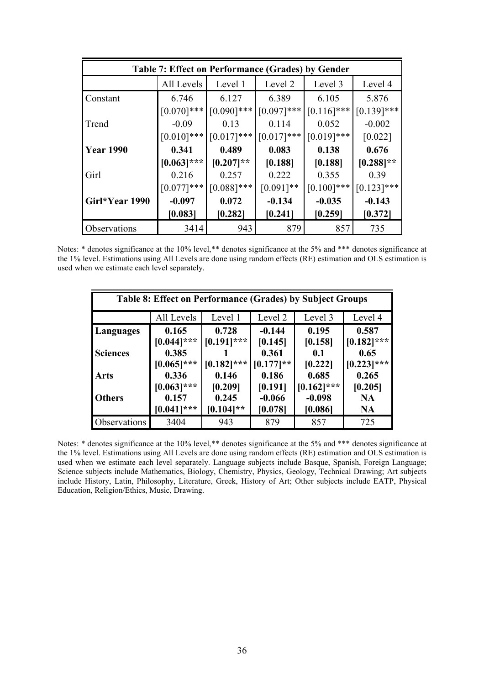|                  | Table 7: Effect on Performance (Grades) by Gender |               |              |               |               |
|------------------|---------------------------------------------------|---------------|--------------|---------------|---------------|
|                  | All Levels                                        | Level 1       | Level 2      | Level 3       | Level 4       |
| Constant         | 6.746                                             | 6.127         | 6.389        | 6.105         | 5.876         |
|                  | $[0.070]$ ***                                     | $[0.090]$ *** | $[0.097]***$ | $[0.116]$ *** | $[0.139]$ *** |
| Trend            | $-0.09$                                           | 0.13          | 0.114        | 0.052         | $-0.002$      |
|                  | $[0.010]$ ***                                     | $[0.017]***$  | $[0.017]***$ | $[0.019]$ *** | [0.022]       |
| <b>Year 1990</b> | 0.341                                             | 0.489         | 0.083        | 0.138         | 0.676         |
|                  | $[0.063]$ ***                                     | $[0.207]**$   | [0.188]      | [0.188]       | $[0.288]$ **  |
| Girl             | 0.216                                             | 0.257         | 0.222        | 0.355         | 0.39          |
|                  | $[0.077]$ ***                                     | $[0.088]$ *** | $[0.091]**$  | $[0.100]$ *** | $[0.123]$ *** |
| Girl*Year 1990   | $-0.097$                                          | 0.072         | $-0.134$     | $-0.035$      | $-0.143$      |
|                  | [0.083]                                           | [0.282]       | [0.241]      | [0.259]       | [0.372]       |
| Observations     | 3414                                              | 943           | 879          | 857           | 735           |

Notes: \* denotes significance at the 10% level,\*\* denotes significance at the 5% and \*\*\* denotes significance at the 1% level. Estimations using All Levels are done using random effects (RE) estimation and OLS estimation is used when we estimate each level separately.

| <b>Table 8: Effect on Performance (Grades) by Subject Groups</b> |                                        |                                 |                                |                                      |                                   |  |  |  |  |  |
|------------------------------------------------------------------|----------------------------------------|---------------------------------|--------------------------------|--------------------------------------|-----------------------------------|--|--|--|--|--|
|                                                                  | All Levels                             | Level 1                         | Level 2                        | Level 3                              | Level 4                           |  |  |  |  |  |
| Languages                                                        | 0.165<br>$[0.044]$ ***                 | 0.728<br>$[0.191]$ ***          | $-0.144$<br>[0.145]            | 0.195<br>[0.158]                     | 0.587<br>$[0.182]$ ***            |  |  |  |  |  |
| <b>Sciences</b>                                                  | 0.385<br>$[0.065]$ ***                 | $[0.182]$ ***                   | 0.361<br>$[0.177]$ **          | 0.1<br>[0.222]                       | 0.65<br>$[0.223]$ ***             |  |  |  |  |  |
| <b>Arts</b>                                                      | 0.336                                  | 0.146                           | 0.186                          | 0.685                                | 0.265                             |  |  |  |  |  |
| <b>Others</b>                                                    | $[0.063]$ ***<br>0.157<br>$[0.041]***$ | [0.209]<br>0.245<br>$[0.104]**$ | [0.191]<br>$-0.066$<br>[0.078] | $[0.162]$ ***<br>$-0.098$<br>[0.086] | [0.205]<br><b>NA</b><br><b>NA</b> |  |  |  |  |  |
| Observations                                                     | 3404                                   | 943                             | 879                            | 857                                  | 725                               |  |  |  |  |  |

Notes: \* denotes significance at the 10% level,\*\* denotes significance at the 5% and \*\*\* denotes significance at the 1% level. Estimations using All Levels are done using random effects (RE) estimation and OLS estimation is used when we estimate each level separately. Language subjects include Basque, Spanish, Foreign Language; Science subjects include Mathematics, Biology, Chemistry, Physics, Geology, Technical Drawing; Art subjects include History, Latin, Philosophy, Literature, Greek, History of Art; Other subjects include EATP, Physical Education, Religion/Ethics, Music, Drawing.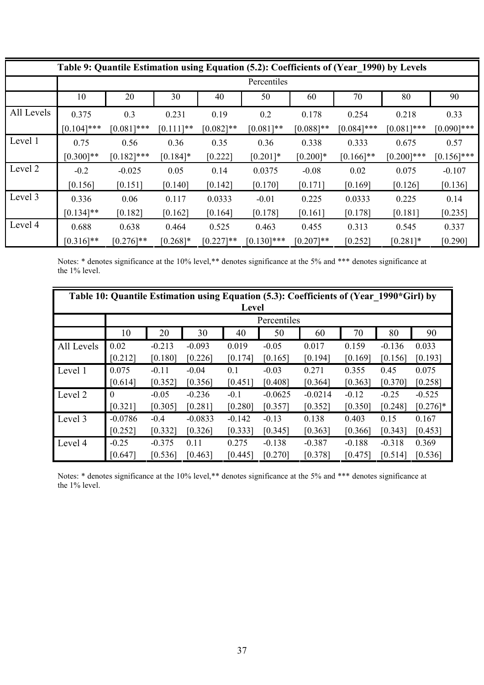|            | Table 9: Quantile Estimation using Equation (5.2): Coefficients of (Year_1990) by Levels |               |              |             |               |              |               |               |               |  |  |  |  |
|------------|------------------------------------------------------------------------------------------|---------------|--------------|-------------|---------------|--------------|---------------|---------------|---------------|--|--|--|--|
|            |                                                                                          | Percentiles   |              |             |               |              |               |               |               |  |  |  |  |
|            | 10                                                                                       | 20            | 30           | 40          | 50            | 60           | 70            | 80            | 90            |  |  |  |  |
| All Levels | 0.375                                                                                    | 0.3           | 0.231        | 0.19        | 0.2           | 0.178        | 0.254         | 0.218         | 0.33          |  |  |  |  |
|            | $[0.104]$ ***                                                                            | $[0.081]$ *** | $[0.111]$ ** | $[0.082]**$ | $[0.081]$ **  | $[0.088]$ ** | $[0.084]$ *** | $[0.081]$ *** | $[0.090]$ *** |  |  |  |  |
| Level 1    | 0.75                                                                                     | 0.56          | 0.36         | 0.35        | 0.36          | 0.338        | 0.333         | 0.675         | 0.57          |  |  |  |  |
|            | $[0.300]$ **                                                                             | $[0.182]$ *** | $[0.184]$ *  | [0.222]     | $[0.201]*$    | $[0.200]*$   | $[0.166]$ **  | $[0.200]$ *** | $[0.156]$ *** |  |  |  |  |
| Level 2    | $-0.2$                                                                                   | $-0.025$      | 0.05         | 0.14        | 0.0375        | $-0.08$      | 0.02          | 0.075         | $-0.107$      |  |  |  |  |
|            | [0.156]                                                                                  | [0.151]       | [0.140]      | [0.142]     | [0.170]       | [0.171]      | [0.169]       | [0.126]       | [0.136]       |  |  |  |  |
| Level 3    | 0.336                                                                                    | 0.06          | 0.117        | 0.0333      | $-0.01$       | 0.225        | 0.0333        | 0.225         | 0.14          |  |  |  |  |
|            | $[0.134]$ **                                                                             | [0.182]       | [0.162]      | [0.164]     | [0.178]       | [0.161]      | [0.178]       | [0.181]       | [0.235]       |  |  |  |  |
| Level 4    | 0.688                                                                                    | 0.638         | 0.464        | 0.525       | 0.463         | 0.455        | 0.313         | 0.545         | 0.337         |  |  |  |  |
|            | $[0.316]$ **                                                                             | $[0.276]$ **  | $[0.268]$ *  | $[0.227]**$ | $[0.130]$ *** | $[0.207]**$  | [0.252]       | $[0.281]$ *   | [0.290]       |  |  |  |  |

Notes: \* denotes significance at the 10% level,\*\* denotes significance at the 5% and \*\*\* denotes significance at the 1% level.

|            | Table 10: Quantile Estimation using Equation (5.3): Coefficients of (Year 1990*Girl) by |             |           |          |           |           |          |          |             |  |  |  |
|------------|-----------------------------------------------------------------------------------------|-------------|-----------|----------|-----------|-----------|----------|----------|-------------|--|--|--|
| Level      |                                                                                         |             |           |          |           |           |          |          |             |  |  |  |
|            |                                                                                         | Percentiles |           |          |           |           |          |          |             |  |  |  |
|            | 10                                                                                      | 20          | 30        | 40       | 50        | 60        | 70       | 80       | 90          |  |  |  |
| All Levels | 0.02                                                                                    | $-0.213$    | $-0.093$  | 0.019    | $-0.05$   | 0.017     | 0.159    | $-0.136$ | 0.033       |  |  |  |
|            | [0.212]                                                                                 | [0.180]     | [0.226]   | [0.174]  | [0.165]   | [0.194]   | [0.169]  | [0.156]  | [0.193]     |  |  |  |
| Level 1    | 0.075                                                                                   | $-0.11$     | $-0.04$   | 0.1      | $-0.03$   | 0.271     | 0.355    | 0.45     | 0.075       |  |  |  |
|            | [0.614]                                                                                 | [0.352]     | [0.356]   | [0.451]  | [0.408]   | [0.364]   | [0.363]  | [0.370]  | [0.258]     |  |  |  |
| Level 2    | $\theta$                                                                                | $-0.05$     | $-0.236$  | $-0.1$   | $-0.0625$ | $-0.0214$ | $-0.12$  | $-0.25$  | $-0.525$    |  |  |  |
|            | [0.321]                                                                                 | [0.305]     | [0.281]   | [0.280]  | [0.357]   | [0.352]   | [0.350]  | [0.248]  | $[0.276]$ * |  |  |  |
| Level 3    | $-0.0786$                                                                               | $-0.4$      | $-0.0833$ | $-0.142$ | $-0.13$   | 0.138     | 0.403    | 0.15     | 0.167       |  |  |  |
|            | [0.252]                                                                                 | [0.332]     | [0.326]   | [0.333]  | [0.345]   | [0.363]   | [0.366]  | [0.343]  | [0.453]     |  |  |  |
| Level 4    | $-0.25$                                                                                 | $-0.375$    | 0.11      | 0.275    | $-0.138$  | $-0.387$  | $-0.188$ | $-0.318$ | 0.369       |  |  |  |
|            | [0.647]                                                                                 | [0.536]     | [0.463]   | [0.445]  | [0.270]   | [0.378]   | [0.475]  | [0.514]  | [0.536]     |  |  |  |

Notes: \* denotes significance at the 10% level,\*\* denotes significance at the 5% and \*\*\* denotes significance at the 1% level.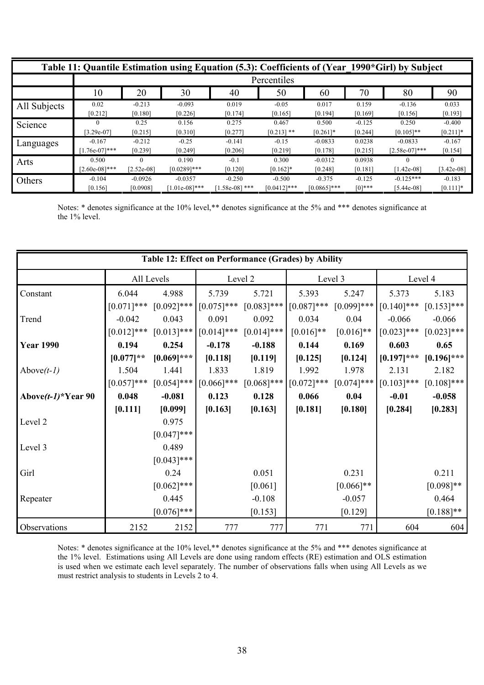|              | Table 11: Quantile Estimation using Equation (5.3): Coefficients of (Year 1990*Girl) by Subject |              |                  |                  |               |                |           |                 |              |  |  |  |
|--------------|-------------------------------------------------------------------------------------------------|--------------|------------------|------------------|---------------|----------------|-----------|-----------------|--------------|--|--|--|
|              |                                                                                                 | Percentiles  |                  |                  |               |                |           |                 |              |  |  |  |
|              | 10                                                                                              | 20           | 30               | 40               | 50            | 60             | 70        | 80              | 90           |  |  |  |
| All Subjects | 0.02                                                                                            | $-0.213$     | $-0.093$         | 0.019            | $-0.05$       | 0.017          | 0.159     | $-0.136$        | 0.033        |  |  |  |
|              | [0.212]                                                                                         | [0.180]      | [0.226]          | [0.174]          | [0.165]       | [0.194]        | [0.169]   | [0.156]         | [0.193]      |  |  |  |
| Science      | 0                                                                                               | 0.25         | 0.156            | 0.275            | 0.467         | 0.500          | $-0.125$  | 0.250           | $-0.400$     |  |  |  |
|              | $[3.29e-07]$                                                                                    | [0.215]      | [0.310]          | [0.277]          | $[0.213]$ **  | $[0.261]$ *    | [0.244]   | $[0.105]$ **    | $[0.211]*$   |  |  |  |
| Languages    | $-0.167$                                                                                        | $-0.212$     | $-0.25$          | $-0.141$         | $-0.15$       | $-0.0833$      | 0.0238    | $-0.0833$       | $-0.167$     |  |  |  |
|              | $.76e-07$ <sup>***</sup>                                                                        | [0.239]      | [0.249]          | [0.206]          | [0.219]       | [0.178]        | [0.215]   | $[2.58e-07]***$ | [0.154]      |  |  |  |
| Arts         | 0.500                                                                                           | 0            | 0.190            | $-0.1$           | 0.300         | $-0.0312$      | 0.0938    | $\Omega$        | $\left($     |  |  |  |
|              | $[2.60e-08]$ ***                                                                                | $[2.52e-08]$ | $[0.0289]$ ***   | [0.120]          | $[0.162]$ *   | [0.248]        | [0.181]   | [1.42e-08]      | $[3.42e-08]$ |  |  |  |
| Others       | $-0.104$                                                                                        | $-0.0926$    | $-0.0357$        | $-0.250$         | $-0.500$      | $-0.375$       | $-0.125$  | $-0.125***$     | $-0.183$     |  |  |  |
|              | [0.156]                                                                                         | [0.0908]     | $[1.01e-08]$ *** | $1.58e-08$ ] *** | $[0.0412]***$ | $[0.0865]$ *** | $[0]$ *** | $[5.44e-08]$    | $[0.111]$ *  |  |  |  |

Notes: \* denotes significance at the 10% level,\*\* denotes significance at the 5% and \*\*\* denotes significance at the 1% level.

|                        |               |               |               |               | Table 12: Effect on Performance (Grades) by Ability |               |               |               |
|------------------------|---------------|---------------|---------------|---------------|-----------------------------------------------------|---------------|---------------|---------------|
|                        |               | All Levels    |               | Level 2       |                                                     | Level 3       |               | Level 4       |
| Constant               | 6.044         | 4.988         | 5.739         | 5.721         | 5.393                                               | 5.247         | 5.373         | 5.183         |
|                        | $[0.071]$ *** | $[0.092]$ *** | $[0.075]$ *** | $[0.083]$ *** | $[0.087]$ ***                                       | $[0.099]$ *** | $[0.140]$ *** | $[0.153]$ *** |
| Trend                  | $-0.042$      | 0.043         | 0.091         | 0.092         | 0.034                                               | 0.04          | $-0.066$      | $-0.066$      |
|                        | $[0.012]$ *** | $[0.013]$ *** | $[0.014]$ *** | $[0.014]$ *** | $[0.016]$ **                                        | $[0.016]$ **  | $[0.023]$ *** | $[0.023]$ *** |
| <b>Year 1990</b>       | 0.194         | 0.254         | $-0.178$      | $-0.188$      | 0.144                                               | 0.169         | 0.603         | 0.65          |
|                        | $[0.077]$ **  | $[0.069]$ *** | [0.118]       | [0.119]       | [0.125]                                             | [0.124]       | $[0.197]$ *** | $[0.196]$ *** |
| Above $(t-1)$          | 1.504         | 1.441         | 1.833         | 1.819         | 1.992                                               | 1.978         | 2.131         | 2.182         |
|                        | $[0.057]$ *** | $[0.054]$ *** | $[0.066]$ *** | $[0.068]$ *** | $[0.072]$ ***                                       | $[0.074]$ *** | $[0.103]$ *** | $[0.108]$ *** |
| Above $(t-1)*$ Year 90 | 0.048         | $-0.081$      | 0.123         | 0.128         | 0.066                                               | 0.04          | $-0.01$       | $-0.058$      |
|                        | [0.111]       | [0.099]       | [0.163]       | [0.163]       | [0.181]                                             | [0.180]       | [0.284]       | [0.283]       |
| Level 2                |               | 0.975         |               |               |                                                     |               |               |               |
|                        |               | $[0.047]$ *** |               |               |                                                     |               |               |               |
| Level 3                |               | 0.489         |               |               |                                                     |               |               |               |
|                        |               | $[0.043]$ *** |               |               |                                                     |               |               |               |
| Girl                   |               | 0.24          |               | 0.051         |                                                     | 0.231         |               | 0.211         |
|                        |               | $[0.062]$ *** |               | $[0.061]$     |                                                     | $[0.066]$ **  |               | $[0.098]**$   |
| Repeater               |               | 0.445         |               | $-0.108$      |                                                     | $-0.057$      |               | 0.464         |
|                        |               | $[0.076]$ *** |               | [0.153]       |                                                     | [0.129]       |               | $[0.188]$ **  |
| Observations           | 2152          | 2152          | 777           | 777           | 771                                                 | 771           | 604           | 604           |

Notes: \* denotes significance at the 10% level,\*\* denotes significance at the 5% and \*\*\* denotes significance at the 1% level. Estimations using All Levels are done using random effects (RE) estimation and OLS estimation is used when we estimate each level separately. The number of observations falls when using All Levels as we must restrict analysis to students in Levels 2 to 4.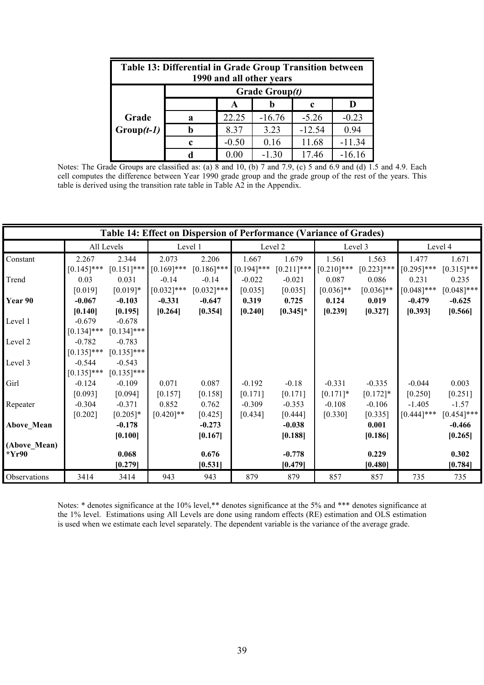| Table 13: Differential in Grade Group Transition between<br>1990 and all other years |             |                |          |          |          |  |  |
|--------------------------------------------------------------------------------------|-------------|----------------|----------|----------|----------|--|--|
|                                                                                      |             | Grade Group(t) |          |          |          |  |  |
|                                                                                      |             | A              | h        | c.       | D        |  |  |
| Grade                                                                                | a           | 22.25          | $-16.76$ | $-5.26$  | $-0.23$  |  |  |
| $Group(t-1)$                                                                         | b           | 8.37           | 3.23     | $-12.54$ | 0.94     |  |  |
|                                                                                      | $\mathbf c$ | $-0.50$        | 0.16     | 11.68    | $-11.34$ |  |  |
|                                                                                      |             | 0.00           | $-1.30$  | 17.46    | $-16.16$ |  |  |

Notes: The Grade Groups are classified as: (a) 8 and 10, (b) 7 and 7.9, (c) 5 and 6.9 and (d) 1.5 and 4.9. Each cell computes the difference between Year 1990 grade group and the grade group of the rest of the years. This table is derived using the transition rate table in Table A2 in the Appendix.

| Table 14: Effect on Dispersion of Performance (Variance of Grades) |               |               |               |               |               |               |               |               |               |               |
|--------------------------------------------------------------------|---------------|---------------|---------------|---------------|---------------|---------------|---------------|---------------|---------------|---------------|
|                                                                    | All Levels    |               | Level 1       |               | Level 2       |               | Level 3       |               | Level 4       |               |
| Constant                                                           | 2.267         | 2.344         | 2.073         | 2.206         | 1.667         | 1.679         | 1.561         | 1.563         | 1.477         | 1.671         |
|                                                                    | $[0.145]$ *** | $[0.151]$ *** | $[0.169]$ *** | $[0.186]$ *** | $[0.194]$ *** | $[0.211]$ *** | $[0.210]$ *** | $[0.223]$ *** | $[0.295]$ *** | $[0.315]$ *** |
| Trend                                                              | 0.03          | 0.031         | $-0.14$       | $-0.14$       | $-0.022$      | $-0.021$      | 0.087         | 0.086         | 0.231         | 0.235         |
|                                                                    | [0.019]       | $[0.019]*$    | $[0.032]$ *** | $[0.032]$ *** | [0.035]       | [0.035]       | $[0.036]$ **  | $[0.036]$ **  | $[0.048]$ *** | $[0.048]$ *** |
| Year 90                                                            | $-0.067$      | $-0.103$      | $-0.331$      | $-0.647$      | 0.319         | 0.725         | 0.124         | 0.019         | $-0.479$      | $-0.625$      |
|                                                                    | [0.140]       | [0.195]       | [0.264]       | [0.354]       | [0.240]       | $[0.345]$ *   | [0.239]       | [0.327]       | [0.393]       | [0.566]       |
| Level 1                                                            | $-0.679$      | $-0.678$      |               |               |               |               |               |               |               |               |
|                                                                    | $[0.134]$ *** | $[0.134]$ *** |               |               |               |               |               |               |               |               |
| Level 2                                                            | $-0.782$      | $-0.783$      |               |               |               |               |               |               |               |               |
|                                                                    | $[0.135]$ *** | $[0.135]$ *** |               |               |               |               |               |               |               |               |
| Level 3                                                            | $-0.544$      | $-0.543$      |               |               |               |               |               |               |               |               |
|                                                                    | $[0.135]$ *** | $[0.135]$ *** |               |               |               |               |               |               |               |               |
| Girl                                                               | $-0.124$      | $-0.109$      | 0.071         | 0.087         | $-0.192$      | $-0.18$       | $-0.331$      | $-0.335$      | $-0.044$      | 0.003         |
|                                                                    | [0.093]       | [0.094]       | [0.157]       | [0.158]       | [0.171]       | $[0.171]$     | $[0.171]$ *   | $[0.172]$ *   | [0.250]       | $[0.251]$     |
| Repeater                                                           | $-0.304$      | $-0.371$      | 0.852         | 0.762         | $-0.309$      | $-0.353$      | $-0.108$      | $-0.106$      | $-1.405$      | $-1.57$       |
|                                                                    | [0.202]       | $[0.205]*$    | $[0.420]$ **  | $[0.425]$     | [0.434]       | $[0.444]$     | $[0.330]$     | [0.335]       | $[0.444]$ *** | $[0.454]$ *** |
| Above_Mean                                                         |               | $-0.178$      |               | $-0.273$      |               | $-0.038$      |               | 0.001         |               | $-0.466$      |
|                                                                    |               | [0.100]       |               | [0.167]       |               | [0.188]       |               | [0.186]       |               | [0.265]       |
| (Above Mean)                                                       |               |               |               |               |               |               |               |               |               |               |
| $*Yr90$                                                            |               | 0.068         |               | 0.676         |               | $-0.778$      |               | 0.229         |               | 0.302         |
|                                                                    |               | [0.279]       |               | [0.531]       |               | [0.479]       |               | [0.480]       |               | [0.784]       |
| Observations                                                       | 3414          | 3414          | 943           | 943           | 879           | 879           | 857           | 857           | 735           | 735           |

Notes: \* denotes significance at the 10% level,\*\* denotes significance at the 5% and \*\*\* denotes significance at the 1% level. Estimations using All Levels are done using random effects (RE) estimation and OLS estimation is used when we estimate each level separately. The dependent variable is the variance of the average grade.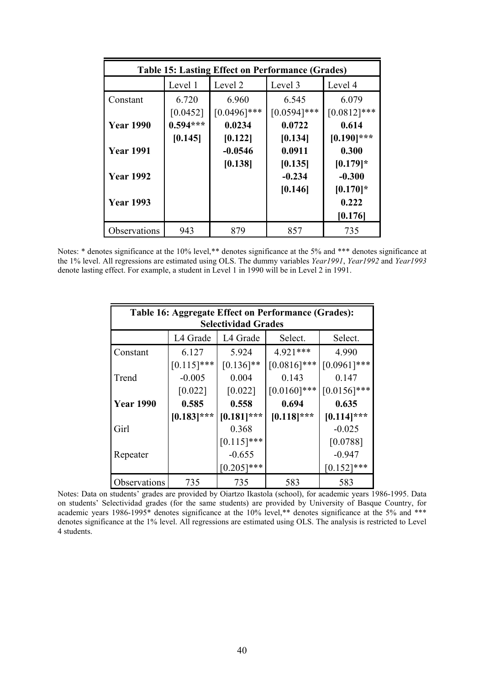| <b>Table 15: Lasting Effect on Performance (Grades)</b> |                                   |                                     |                                     |                                         |  |  |
|---------------------------------------------------------|-----------------------------------|-------------------------------------|-------------------------------------|-----------------------------------------|--|--|
|                                                         | Level 1                           | Level 2                             | Level 3                             | Level 4                                 |  |  |
| Constant                                                | 6.720                             | 6.960                               | 6.545                               | 6.079                                   |  |  |
| <b>Year 1990</b>                                        | [0.0452]<br>$0.594***$<br>[0.145] | $[0.0496]$ ***<br>0.0234<br>[0.122] | $[0.0594]$ ***<br>0.0722<br>[0.134] | $[0.0812]***$<br>0.614<br>$[0.190]$ *** |  |  |
| <b>Year 1991</b>                                        |                                   | $-0.0546$                           | 0.0911                              | 0.300                                   |  |  |
| <b>Year 1992</b>                                        |                                   | [0.138]                             | [0.135]<br>$-0.234$<br>[0.146]      | $[0.179]$ *<br>$-0.300$<br>$[0.170]$ *  |  |  |
| <b>Year 1993</b>                                        |                                   |                                     |                                     | 0.222<br>[0.176]                        |  |  |
| Observations                                            | 943                               | 879                                 | 857                                 | 735                                     |  |  |

Notes: \* denotes significance at the 10% level,\*\* denotes significance at the 5% and \*\*\* denotes significance at the 1% level. All regressions are estimated using OLS. The dummy variables Year1991, Year1992 and Year1993 denote lasting effect. For example, a student in Level 1 in 1990 will be in Level 2 in 1991.

| Table 16: Aggregate Effect on Performance (Grades):<br><b>Selectividad Grades</b> |               |               |                |                |  |  |  |
|-----------------------------------------------------------------------------------|---------------|---------------|----------------|----------------|--|--|--|
|                                                                                   | L4 Grade      | L4 Grade      | Select.        | Select.        |  |  |  |
| Constant                                                                          | 6.127         | 5.924         | 4.921***       | 4.990          |  |  |  |
|                                                                                   | $[0.115]$ *** | $[0.136]$ **  | $[0.0816]$ *** | $[0.0961]***$  |  |  |  |
| Trend                                                                             | $-0.005$      | 0.004         | 0.143          | 0.147          |  |  |  |
|                                                                                   | [0.022]       | [0.022]       | $[0.0160]$ *** | $[0.0156]$ *** |  |  |  |
| <b>Year 1990</b>                                                                  | 0.585         | 0.558         | 0.694          | 0.635          |  |  |  |
|                                                                                   | $[0.183]$ *** | $[0.181]$ *** | $[0.118]$ ***  | $[0.114]$ ***  |  |  |  |
| Girl                                                                              |               | 0.368         |                | $-0.025$       |  |  |  |
|                                                                                   |               | $[0.115]$ *** |                | [0.0788]       |  |  |  |
| Repeater                                                                          |               | $-0.655$      |                | $-0.947$       |  |  |  |
|                                                                                   |               | $[0.205]$ *** |                | $[0.152]$ ***  |  |  |  |
| <b>Observations</b>                                                               | 735           | 735           | 583            | 583            |  |  |  |

Notes: Data on students' grades are provided by Oiartzo Ikastola (school), for academic years 1986-1995. Data on students' Selectividad grades (for the same students) are provided by University of Basque Country, for academic years 1986-1995\* denotes significance at the 10% level,\*\* denotes significance at the 5% and \*\*\* denotes significance at the 1% level. All regressions are estimated using OLS. The analysis is restricted to Level 4 students.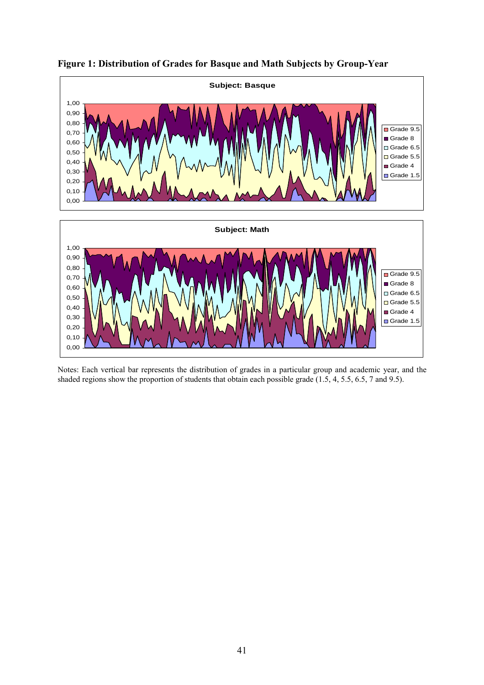

Figure 1: Distribution of Grades for Basque and Math Subjects by Group-Year

Notes: Each vertical bar represents the distribution of grades in a particular group and academic year, and the shaded regions show the proportion of students that obtain each possible grade (1.5, 4, 5.5, 6.5, 7 and 9.5).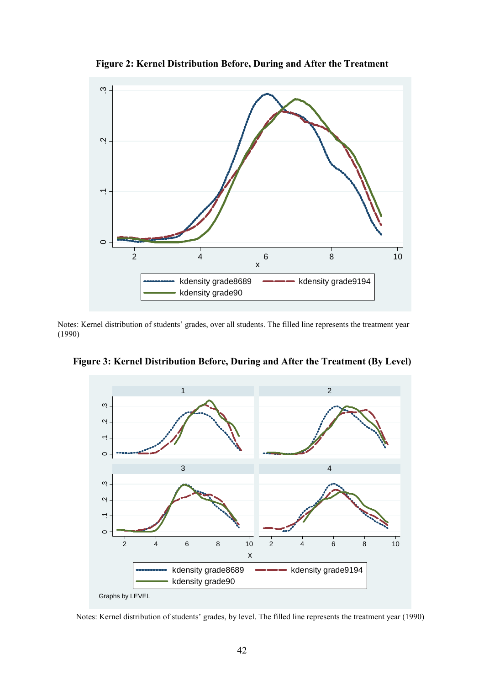

Figure 2: Kernel Distribution Before, During and After the Treatment

Notes: Kernel distribution of students' grades, over all students. The filled line represents the treatment year (1990)



Figure 3: Kernel Distribution Before, During and After the Treatment (By Level)

Notes: Kernel distribution of students' grades, by level. The filled line represents the treatment year (1990)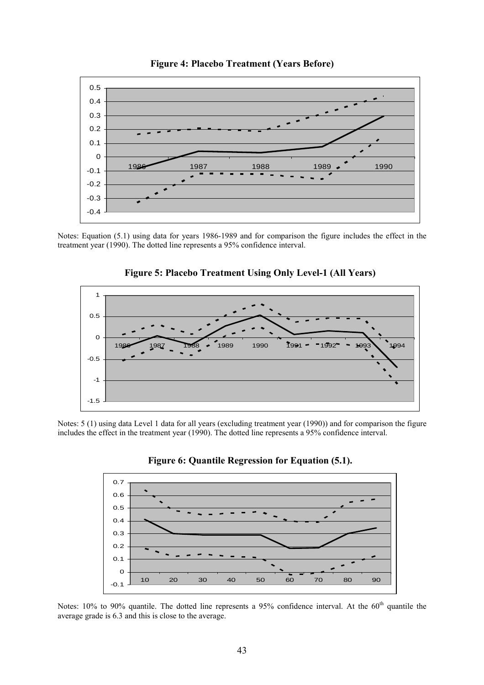

Figure 4: Placebo Treatment (Years Before)

Notes: Equation (5.1) using data for years 1986-1989 and for comparison the figure includes the effect in the treatment year (1990). The dotted line represents a 95% confidence interval.



Figure 5: Placebo Treatment Using Only Level-1 (All Years)

Notes: 5 (1) using data Level 1 data for all years (excluding treatment year (1990)) and for comparison the figure includes the effect in the treatment year (1990). The dotted line represents a 95% confidence interval.





Notes: 10% to 90% quantile. The dotted line represents a 95% confidence interval. At the 60<sup>th</sup> quantile the average grade is 6.3 and this is close to the average.